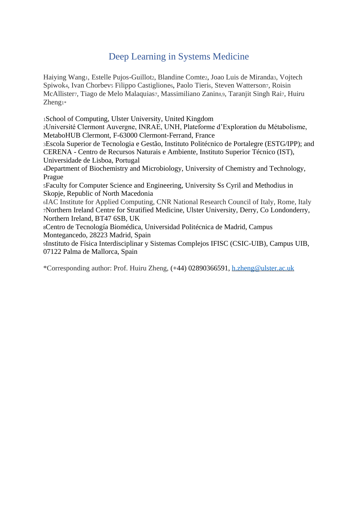# Deep Learning in Systems Medicine

Haiying Wang1, Estelle Pujos-Guillot2, Blandine Comte2, Joao Luis de Miranda3, Vojtech Spiwok4, Ivan Chorbev5 Filippo Castiglione6, Paolo Tieri6, Steven Watterson7, Roisin McAllister7, Tiago de Melo Malaquias7, Massimiliano Zanin8,9, Taranjit Singh Rai7, Huiru Zheng1\*

<sup>1</sup>School of Computing, Ulster University, United Kingdom

<sup>2</sup>Université Clermont Auvergne, INRAE, UNH, Plateforme d'Exploration du Métabolisme, MetaboHUB Clermont, F-63000 Clermont-Ferrand, France

<sup>3</sup>Escola Superior de Tecnologia e Gestão, Instituto Politécnico de Portalegre (ESTG/IPP); and CERENA - Centro de Recursos Naturais e Ambiente, Instituto Superior Técnico (IST), Universidade de Lisboa, Portugal

<sup>4</sup>Department of Biochemistry and Microbiology, University of Chemistry and Technology, Prague

<sup>5</sup>Faculty for Computer Science and Engineering, University Ss Cyril and Methodius in Skopje, Republic of North Macedonia

<sup>6</sup>IAC Institute for Applied Computing, CNR National Research Council of Italy, Rome, Italy <sup>7</sup>Northern Ireland Centre for Stratified Medicine, Ulster University, Derry, Co Londonderry, Northern Ireland, BT47 6SB, UK

<sup>8</sup>Centro de Tecnología Biomédica, Universidad Politécnica de Madrid, Campus Montegancedo, 28223 Madrid, Spain

<sup>9</sup>Instituto de Física Interdisciplinar y Sistemas Complejos IFISC (CSIC-UIB), Campus UIB, 07122 Palma de Mallorca, Spain

\*Corresponding author: Prof. Huiru Zheng, (+44) 02890366591, [h.zheng@ulster.ac.uk](mailto:h.zheng@ulster.ac.uk)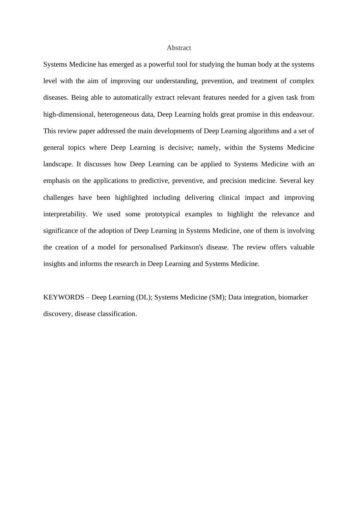#### Abstract

Systems Medicine has emerged as a powerful tool for studying the human body at the systems level with the aim of improving our understanding, prevention, and treatment of complex diseases. Being able to automatically extract relevant features needed for a given task from high-dimensional, heterogeneous data, Deep Learning holds great promise in this endeavour. This review paper addressed the main developments of Deep Learning algorithms and a set of general topics where Deep Learning is decisive; namely, within the Systems Medicine landscape. It discusses how Deep Learning can be applied to Systems Medicine with an emphasis on the applications to predictive, preventive, and precision medicine. Several key challenges have been highlighted including delivering clinical impact and improving interpretability. We used some prototypical examples to highlight the relevance and significance of the adoption of Deep Learning in Systems Medicine, one of them is involving the creation of a model for personalised Parkinson's disease. The review offers valuable insights and informs the research in Deep Learning and Systems Medicine.

KEYWORDS – Deep Learning (DL); Systems Medicine (SM); Data integration, biomarker discovery, disease classification.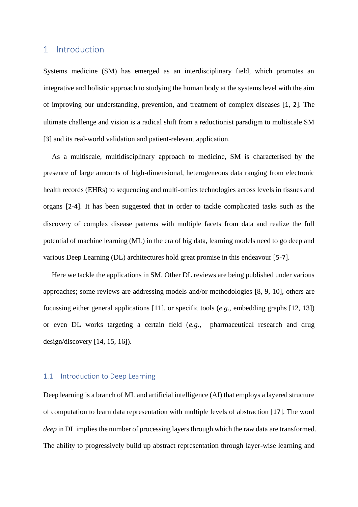## 1 Introduction

Systems medicine (SM) has emerged as an interdisciplinary field, which promotes an integrative and holistic approach to studying the human body at the systems level with the aim of improving our understanding, prevention, and treatment of complex diseases [[1](#page-29-0), [2](#page-30-0)]. The ultimate challenge and vision is a radical shift from a reductionist paradigm to multiscale SM [\[](#page-30-1)[3](#page-30-1)] and its real-world validation and patient-relevant application.

As a multiscale, multidisciplinary approach to medicine, SM is characterised by the presence of large amounts of high-dimensional, heterogeneous data ranging from electronic health records (EHRs) to sequencing and multi-omics technologies across levels in tissues and organs [[2](#page-30-0)-[4](#page-30-2)]. It has been suggested that in order to tackle complicated tasks such as the discovery of complex disease patterns with multiple facets from data and realize the full potential of machine learning (ML) in the era of big data, learning models need to go deep and various Deep Learning (DL) architectures hold great promise in this endeavour [[5](#page-30-3)-[7](#page-30-4)].

Here we tackle the applications in SM. Other DL reviews are being published under various approaches; some reviews are addressing models and/or methodologies [\[8,](#page-30-5) [9,](#page-30-6) [10\]](#page-30-7), others are focussing either general applications [\[11\]](#page-30-8), or specific tools (*e.g*., embedding graphs [\[12,](#page-31-0) [13\]](#page-31-1)) or even DL works targeting a certain field (*e.g*., pharmaceutical research and drug design/discovery [\[14,](#page-31-2) [15,](#page-31-3) [16\]](#page-31-4)).

#### 1.1 Introduction to Deep Learning

Deep learning is a branch of ML and artificial intelligence (AI) that employs a layered structure of computation to learn data representation with multiple levels of abstraction [[17](#page-31-5)]. The word *deep* in DL implies the number of processing layers through which the raw data are transformed. The ability to progressively build up abstract representation through layer-wise learning and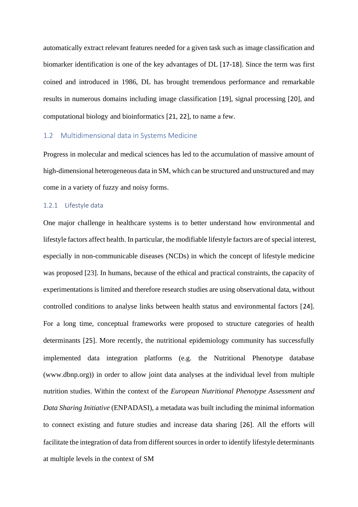automatically extract relevant features needed for a given task such as image classification and biomarker identification is one of the key advantages of DL [[17](#page-31-5)-[18](#page-31-6)]. Since the term was first coined and introduced in 1986, DL has brought tremendous performance and remarkable results in numerous domains including image classification [[19](#page-31-7)], signal processing [[20](#page-31-8)], and computational biology and bioinformatics [\[](#page-31-9)[21](#page-31-9), [22](#page-31-10)], to name a few.

#### 1.2 Multidimensional data in Systems Medicine

Progress in molecular and medical sciences has led to the accumulation of massive amount of high-dimensional heterogeneous data in SM, which can be structured and unstructured and may come in a variety of fuzzy and noisy forms.

#### 1.2.1 Lifestyle data

One major challenge in healthcare systems is to better understand how environmental and lifestyle factors affect health. In particular, the modifiable lifestyle factors are of special interest, especially in non-communicable diseases (NCDs) in which the concept of lifestyle medicine was proposed [\[23\]](#page-31-11). In humans, because of the ethical and practical constraints, the capacity of experimentations is limited and therefore research studies are using observational data, without controlled conditions to analyse links between health status and environmental factors [[24](#page-32-0)]. For a long time, conceptual frameworks were proposed to structure categories of health determinants [[25](#page-32-1)]. More recently, the nutritional epidemiology community has successfully implemented data integration platforms (e.g. the Nutritional Phenotype database (www.dbnp.org)) in order to allow joint data analyses at the individual level from multiple nutrition studies. Within the context of the *European Nutritional Phenotype Assessment and Data Sharing Initiative* (ENPADASI), a metadata was built including the minimal information to connect existing and future studies and increase data sharing [\[](#page-32-2)[26](#page-32-2)]. All the efforts will facilitate the integration of data from different sources in order to identify lifestyle determinants at multiple levels in the context of SM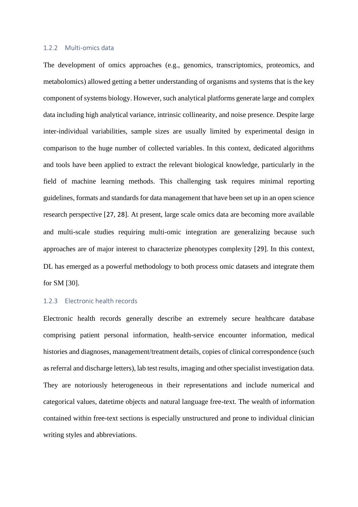#### 1.2.2 Multi-omics data

The development of omics approaches (e.g., genomics, transcriptomics, proteomics, and metabolomics) allowed getting a better understanding of organisms and systems that is the key component of systems biology. However, such analytical platforms generate large and complex data including high analytical variance, intrinsic collinearity, and noise presence. Despite large inter-individual variabilities, sample sizes are usually limited by experimental design in comparison to the huge number of collected variables. In this context, dedicated algorithms and tools have been applied to extract the relevant biological knowledge, particularly in the field of machine learning methods. This challenging task requires minimal reporting guidelines, formats and standards for data management that have been set up in an open science research perspective [[27](#page-32-3), [28](#page-32-4)]. At present, large scale omics data are becoming more available and multi-scale studies requiring multi-omic integration are generalizing because such approaches are of major interest to characterize phenotypes complexity [[29](#page-32-5)]. In this context, DL has emerged as a powerful methodology to both process omic datasets and integrate them for SM [\[30\]](#page-32-6).

## 1.2.3 Electronic health records

Electronic health records generally describe an extremely secure healthcare database comprising patient personal information, health-service encounter information, medical histories and diagnoses, management/treatment details, copies of clinical correspondence (such as referral and discharge letters), lab test results, imaging and other specialist investigation data. They are notoriously heterogeneous in their representations and include numerical and categorical values, datetime objects and natural language free-text. The wealth of information contained within free-text sections is especially unstructured and prone to individual clinician writing styles and abbreviations.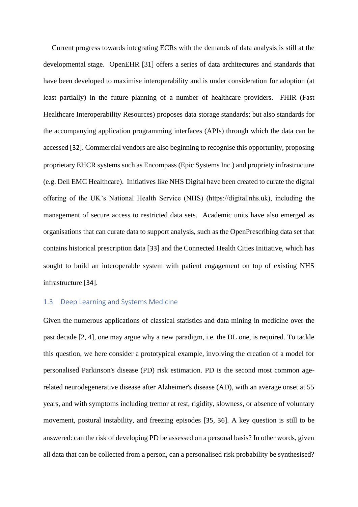Current progress towards integrating ECRs with the demands of data analysis is still at the developmental stage. OpenEHR [\[31\]](#page-32-7) offers a series of data architectures and standards that have been developed to maximise interoperability and is under consideration for adoption (at least partially) in the future planning of a number of healthcare providers. FHIR (Fast Healthcare Interoperability Resources) proposes data storage standards; but also standards for the accompanying application programming interfaces (APIs) through which the data can be accessed [[32](#page-32-8)]. Commercial vendors are also beginning to recognise this opportunity, proposing proprietary EHCR systems such as Encompass (Epic Systems Inc.) and propriety infrastructure (e.g. Dell EMC Healthcare). Initiatives like NHS Digital have been created to curate the digital offering of the UK's National Health Service (NHS) (https://digital.nhs.uk), including the management of secure access to restricted data sets. Academic units have also emerged as organisations that can curate data to support analysis, such as the OpenPrescribing data set that contains historical prescription data [[33](#page-33-0)] and the Connected Health Cities Initiative, which has sought to build an interoperable system with patient engagement on top of existing NHS infrastructure [\[](#page-33-1)[34](#page-33-1)].

## <span id="page-5-0"></span>1.3 Deep Learning and Systems Medicine

Given the numerous applications of classical statistics and data mining in medicine over the past decade [\[2,](#page-30-0) [4\]](#page-30-2), one may argue why a new paradigm, i.e. the DL one, is required. To tackle this question, we here consider a prototypical example, involving the creation of a model for personalised Parkinson's disease (PD) risk estimation. PD is the second most common agerelated neurodegenerative disease after Alzheimer's disease (AD), with an average onset at 55 years, and with symptoms including tremor at rest, rigidity, slowness, or absence of voluntary movement, postural instability, and freezing episodes [\[](#page-33-2)[35](#page-33-2), [36](#page-33-3)]. A key question is still to be answered: can the risk of developing PD be assessed on a personal basis? In other words, given all data that can be collected from a person, can a personalised risk probability be synthesised?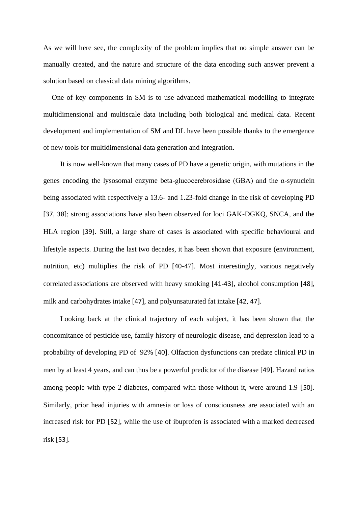As we will here see, the complexity of the problem implies that no simple answer can be manually created, and the nature and structure of the data encoding such answer prevent a solution based on classical data mining algorithms.

One of key components in SM is to use advanced mathematical modelling to integrate multidimensional and multiscale data including both biological and medical data. Recent development and implementation of SM and DL have been possible thanks to the emergence of new tools for multidimensional data generation and integration.

It is now well-known that many cases of PD have a genetic origin, with mutations in the genes encoding the lysosomal enzyme beta-glucocerebrosidase (GBA) and the α-synuclein being associated with respectively a 13.6- and 1.23-fold change in the risk of developing PD [\[](#page-33-4)[37](#page-33-4), [38](#page-33-5)]; strong associations have also been observed for loci GAK-DGKQ, SNCA, and the HLA region [[39](#page-33-6)]. Still, a large share of cases is associated with specific behavioural and lifestyle aspects. During the last two decades, it has been shown that exposure (environment, nutrition, etc) multiplies the risk of PD [[40](#page-33-7)[-47\]](#page-34-0). Most interestingly, various negatively correlated associations are observed with heavy smoking [\[](#page-33-8)[41](#page-33-8)-[43](#page-34-1)], alcohol consumption [\[](#page-34-2)[48](#page-34-2)], milk and carbohydrates intake [[47](#page-34-0)], and polyunsaturated fat intake [[42](#page-34-3),[47](#page-34-0)].

Looking back at the clinical trajectory of each subject, it has been shown that the concomitance of pesticide use, family history of neurologic disease, and depression lead to a probability of developing PD of 92% [[40](#page-33-7)]. Olfaction dysfunctions can predate clinical PD in men by at least 4 years, and can thus be a powerful predictor of the disease [\[](#page-34-4)[49](#page-34-4)]. Hazard ratios among people with type 2 diabetes, compared with those without it, were around 1.9 [[50](#page-34-5)]. Similarly, prior head injuries with amnesia or loss of consciousness are associated with an increased risk for PD [\[](#page-35-0)[52](#page-35-0)], while the use of ibuprofen is associated with a marked decreased risk [\[](#page-35-1)[53](#page-35-1)].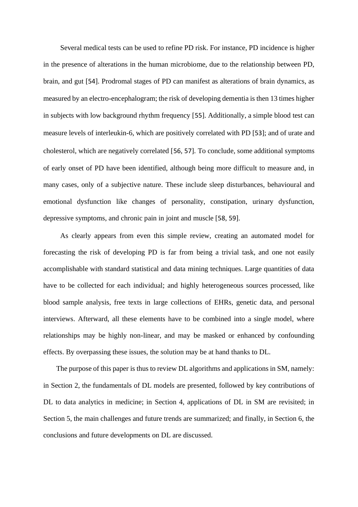Several medical tests can be used to refine PD risk. For instance, PD incidence is higher in the presence of alterations in the human microbiome, due to the relationship between PD, brain, and gut [\[](#page-35-2)[54](#page-35-2)]. Prodromal stages of PD can manifest as alterations of brain dynamics, as measured by an electro-encephalogram; the risk of developing dementia is then 13 times higher in subjects with low background rhythm frequency [[55](#page-35-3)]. Additionally, a simple blood test can measure levels of interleukin-6, which are positively correlated with PD [\[](#page-35-1)[53](#page-35-1)]; and of urate and cholesterol, which are negatively correlated [[56](#page-35-4), [57](#page-35-5)]. To conclude, some additional symptoms of early onset of PD have been identified, although being more difficult to measure and, in many cases, only of a subjective nature. These include sleep disturbances, behavioural and emotional dysfunction like changes of personality, constipation, urinary dysfunction, depressive symptoms, and chronic pain in joint and muscle [[58](#page-35-6), [59](#page-35-7)].

As clearly appears from even this simple review, creating an automated model for forecasting the risk of developing PD is far from being a trivial task, and one not easily accomplishable with standard statistical and data mining techniques. Large quantities of data have to be collected for each individual; and highly heterogeneous sources processed, like blood sample analysis, free texts in large collections of EHRs, genetic data, and personal interviews. Afterward, all these elements have to be combined into a single model, where relationships may be highly non-linear, and may be masked or enhanced by confounding effects. By overpassing these issues, the solution may be at hand thanks to DL.

The purpose of this paper is thus to review DL algorithms and applications in SM, namely: in Section 2, the fundamentals of DL models are presented, followed by key contributions of DL to data analytics in medicine; in Section 4, applications of DL in SM are revisited; in Section 5, the main challenges and future trends are summarized; and finally, in Section 6, the conclusions and future developments on DL are discussed.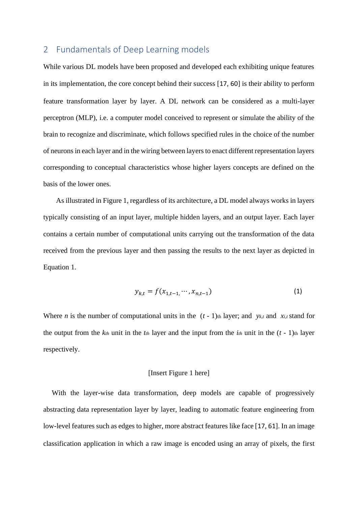# 2 Fundamentals of Deep Learning models

While various DL models have been proposed and developed each exhibiting unique features in its implementation, the core concept behind their success [[17](#page-31-5), [60](#page-35-8)] is their ability to perform feature transformation layer by layer. A DL network can be considered as a multi-layer perceptron (MLP), i.e. a computer model conceived to represent or simulate the ability of the brain to recognize and discriminate, which follows specified rules in the choice of the number of neurons in each layer and in the wiring between layers to enact different representation layers corresponding to conceptual characteristics whose higher layers concepts are defined on the basis of the lower ones.

As illustrated in Figure 1, regardless of its architecture, a DL model always works in layers typically consisting of an input layer, multiple hidden layers, and an output layer. Each layer contains a certain number of computational units carrying out the transformation of the data received from the previous layer and then passing the results to the next layer as depicted in Equation 1.

$$
y_{k,t} = f(x_{1,t-1}, \cdots, x_{n,t-1})
$$
 (1)

Where *n* is the number of computational units in the  $(t - 1)$ <sup>th</sup> layer; and *y<sub>k,t</sub>* and *x<sub>i,t</sub>* stand for the output from the  $k$ <sup>th</sup> unit in the  $t$ <sup>th</sup> layer and the input from the  $i$ <sup>th</sup> unit in the  $(t - 1)$ <sup>th</sup> layer respectively.

## [Insert Figure 1 here]

With the layer-wise data transformation, deep models are capable of progressively abstracting data representation layer by layer, leading to automatic feature engineering from low-level features such as edges to higher, more abstract features like face [\[](#page-31-5)[17](#page-31-5),[61](#page-36-0)]. In an image classification application in which a raw image is encoded using an array of pixels, the first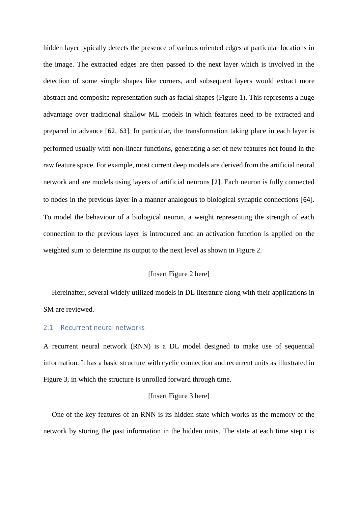hidden layer typically detects the presence of various oriented edges at particular locations in the image. The extracted edges are then passed to the next layer which is involved in the detection of some simple shapes like corners, and subsequent layers would extract more abstract and composite representation such as facial shapes (Figure 1). This represents a huge advantage over traditional shallow ML models in which features need to be extracted and prepared in advance [[62](#page-36-1), [63](#page-36-2)]. In particular, the transformation taking place in each layer is performed usually with non-linear functions, generating a set of new features not found in the raw feature space. For example, most current deep models are derived from the artificial neural network and are models using layers of artificial neurons [[2](#page-30-0)]. Each neuron is fully connected to nodes in the previous layer in a manner analogous to biological synaptic connections [[64](#page-36-3)]. To model the behaviour of a biological neuron, a weight representing the strength of each connection to the previous layer is introduced and an activation function is applied on the weighted sum to determine its output to the next level as shown in Figure 2.

## [Insert Figure 2 here]

Hereinafter, several widely utilized models in DL literature along with their applications in SM are reviewed.

#### 2.1 Recurrent neural networks

A recurrent neural network (RNN) is a DL model designed to make use of sequential information. It has a basic structure with cyclic connection and recurrent units as illustrated in Figure 3, in which the structure is unrolled forward through time.

#### [Insert Figure 3 here]

One of the key features of an RNN is its hidden state which works as the memory of the network by storing the past information in the hidden units. The state at each time step t is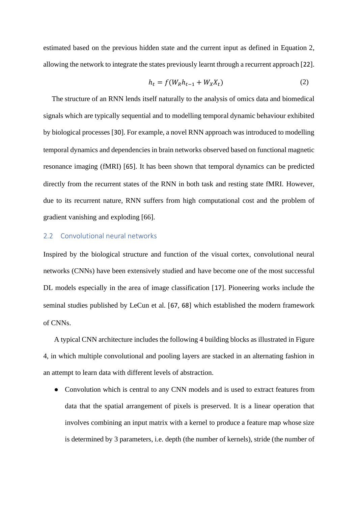estimated based on the previous hidden state and the current input as defined in Equation 2, allowing the network to integrate the states previously learnt through a recurrent approach [\[](#page-31-10)[22](#page-31-10)].

$$
h_t = f(W_R h_{t-1} + W_X X_t)
$$
\n<sup>(2)</sup>

The structure of an RNN lends itself naturally to the analysis of omics data and biomedical signals which are typically sequential and to modelling temporal dynamic behaviour exhibited by biological processes [\[](#page-32-6)[30](#page-32-6)]. For example, a novel RNN approach was introduced to modelling temporal dynamics and dependencies in brain networks observed based on functional magnetic resonance imaging (fMRI) [[65](#page-36-4)]. It has been shown that temporal dynamics can be predicted directly from the recurrent states of the RNN in both task and resting state fMRI. However, due to its recurrent nature, RNN suffers from high computational cost and the problem of gradient vanishing and exploding [\[66\]](#page-36-5).

### 2.2 Convolutional neural networks

Inspired by the biological structure and function of the visual cortex, convolutional neural networks (CNNs) have been extensively studied and have become one of the most successful DL models especially in the area of image classification [[17](#page-31-5)]. Pioneering works include the seminal studies published by LeCun et al. [[67](#page-36-6), [68](#page-36-7)] which established the modern framework of CNNs.

A typical CNN architecture includes the following 4 building blocks as illustrated in Figure 4, in which multiple convolutional and pooling layers are stacked in an alternating fashion in an attempt to learn data with different levels of abstraction.

• Convolution which is central to any CNN models and is used to extract features from data that the spatial arrangement of pixels is preserved. It is a linear operation that involves combining an input matrix with a kernel to produce a feature map whose size is determined by 3 parameters, i.e. depth (the number of kernels), stride (the number of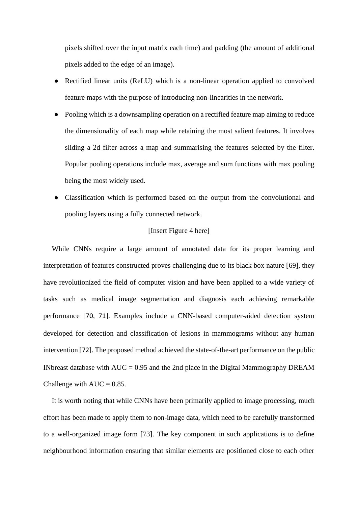pixels shifted over the input matrix each time) and padding (the amount of additional pixels added to the edge of an image).

- Rectified linear units (ReLU) which is a non-linear operation applied to convolved feature maps with the purpose of introducing non-linearities in the network.
- Pooling which is a downsampling operation on a rectified feature map aiming to reduce the dimensionality of each map while retaining the most salient features. It involves sliding a 2d filter across a map and summarising the features selected by the filter. Popular pooling operations include max, average and sum functions with max pooling being the most widely used.
- Classification which is performed based on the output from the convolutional and pooling layers using a fully connected network.

#### [Insert Figure 4 here]

While CNNs require a large amount of annotated data for its proper learning and interpretation of features constructed proves challenging due to its black box nature [\[69\]](#page-36-8), they have revolutionized the field of computer vision and have been applied to a wide variety of tasks such as medical image segmentation and diagnosis each achieving remarkable performance [\[](#page-36-9)[70](#page-36-9), [71](#page-37-0)]. Examples include a CNN-based computer-aided detection system developed for detection and classification of lesions in mammograms without any human intervention [[72](#page-37-1)]. The proposed method achieved the state-of-the-art performance on the public INbreast database with  $AUC = 0.95$  and the 2nd place in the Digital Mammography DREAM Challenge with  $AUC = 0.85$ .

It is worth noting that while CNNs have been primarily applied to image processing, much effort has been made to apply them to non-image data, which need to be carefully transformed to a well-organized image form [\[73\]](#page-37-2). The key component in such applications is to define neighbourhood information ensuring that similar elements are positioned close to each other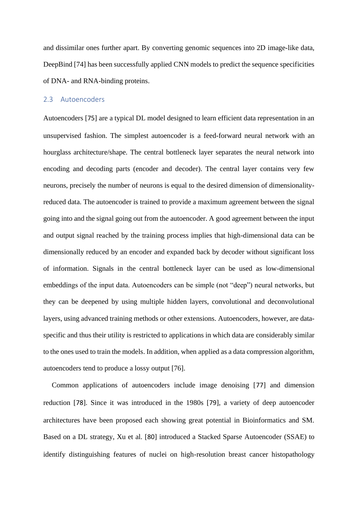and dissimilar ones further apart. By converting genomic sequences into 2D image-like data, DeepBind [\[74\]](#page-37-3) has been successfully applied CNN models to predict the sequence specificities of DNA- and RNA-binding proteins.

#### 2.3 Autoencoders

Autoencoders [\[](#page-37-4)[75](#page-37-4)] are a typical DL model designed to learn efficient data representation in an unsupervised fashion. The simplest autoencoder is a feed-forward neural network with an hourglass architecture/shape. The central bottleneck layer separates the neural network into encoding and decoding parts (encoder and decoder). The central layer contains very few neurons, precisely the number of neurons is equal to the desired dimension of dimensionalityreduced data. The autoencoder is trained to provide a maximum agreement between the signal going into and the signal going out from the autoencoder. A good agreement between the input and output signal reached by the training process implies that high-dimensional data can be dimensionally reduced by an encoder and expanded back by decoder without significant loss of information. Signals in the central bottleneck layer can be used as low-dimensional embeddings of the input data. Autoencoders can be simple (not "deep") neural networks, but they can be deepened by using multiple hidden layers, convolutional and deconvolutional layers, using advanced training methods or other extensions. Autoencoders, however, are dataspecific and thus their utility is restricted to applications in which data are considerably similar to the ones used to train the models. In addition, when applied as a data compression algorithm, autoencoders tend to produce a lossy output [\[76\]](#page-37-5).

Common applications of autoencoders include image denoising [[77](#page-37-6)] and dimension reduction [[78](#page-37-7)]. Since it was introduced in the 1980s [\[](#page-37-8)[79](#page-37-8)], a variety of deep autoencoder architectures have been proposed each showing great potential in Bioinformatics and SM. Based on a DL strategy, Xu et al. [[80](#page-37-9)] introduced a Stacked Sparse Autoencoder (SSAE) to identify distinguishing features of nuclei on high-resolution breast cancer histopathology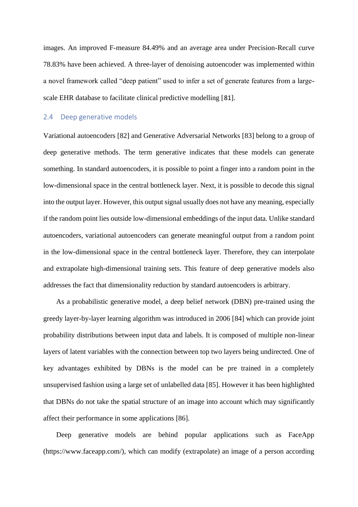images. An improved F-measure 84.49% and an average area under Precision-Recall curve 78.83% have been achieved. A three-layer of denoising autoencoder was implemented within a novel framework called "deep patient" used to infer a set of generate features from a largescale EHR database to facilitate clinical predictive modelling [[81](#page-38-0)].

#### 2.4 Deep generative models

Variational autoencoders [\[82\]](#page-38-1) and Generative Adversarial Networks [\[83\]](#page-38-2) belong to a group of deep generative methods. The term generative indicates that these models can generate something. In standard autoencoders, it is possible to point a finger into a random point in the low-dimensional space in the central bottleneck layer. Next, it is possible to decode this signal into the output layer. However, this output signal usually does not have any meaning, especially if the random point lies outside low-dimensional embeddings of the input data. Unlike standard autoencoders, variational autoencoders can generate meaningful output from a random point in the low-dimensional space in the central bottleneck layer. Therefore, they can interpolate and extrapolate high-dimensional training sets. This feature of deep generative models also addresses the fact that dimensionality reduction by standard autoencoders is arbitrary.

As a probabilistic generative model, a deep belief network (DBN) pre-trained using the greedy layer-by-layer learning algorithm was introduced in 2006 [\[84\]](#page-38-3) which can provide joint probability distributions between input data and labels. It is composed of multiple non-linear layers of latent variables with the connection between top two layers being undirected. One of key advantages exhibited by DBNs is the model can be pre trained in a completely unsupervised fashion using a large set of unlabelled data [\[85\]](#page-38-4). However it has been highlighted that DBNs do not take the spatial structure of an image into account which may significantly affect their performance in some applications [\[86\]](#page-38-5).

Deep generative models are behind popular applications such as FaceApp (https://www.faceapp.com/), which can modify (extrapolate) an image of a person according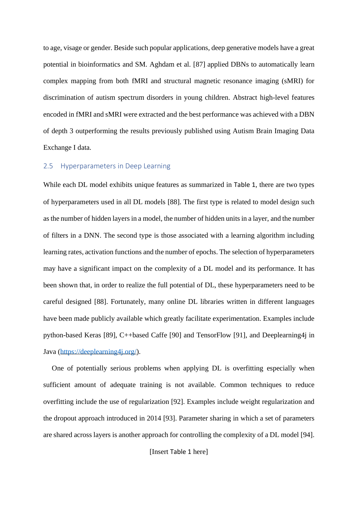to age, visage or gender. Beside such popular applications, deep generative models have a great potential in bioinformatics and SM. Aghdam et al. [\[87\]](#page-38-6) applied DBNs to automatically learn complex mapping from both fMRI and structural magnetic resonance imaging (sMRI) for discrimination of autism spectrum disorders in young children. Abstract high-level features encoded in fMRI and sMRI were extracted and the best performance was achieved with a DBN of depth 3 outperforming the results previously published using Autism Brain Imaging Data Exchange I data.

#### 2.5 Hyperparameters in Deep Learning

While each DL model exhibits unique features as summarized in [Table 1](#page-50-0), there are two types of hyperparameters used in all DL models [\[88\]](#page-38-7). The first type is related to model design such as the number of hidden layers in a model, the number of hidden units in a layer, and the number of filters in a DNN. The second type is those associated with a learning algorithm including learning rates, activation functions and the number of epochs. The selection of hyperparameters may have a significant impact on the complexity of a DL model and its performance. It has been shown that, in order to realize the full potential of DL, these hyperparameters need to be careful designed [\[88\]](#page-38-7). Fortunately, many online DL libraries written in different languages have been made publicly available which greatly facilitate experimentation. Examples include python-based Keras [\[89\]](#page-38-8), C++based Caffe [\[90\]](#page-38-9) and TensorFlow [\[91\]](#page-38-10), and Deeplearning4j in Java [\(https://deeplearning4j.org/\)](https://deeplearning4j.org/).

One of potentially serious problems when applying DL is overfitting especially when sufficient amount of adequate training is not available. Common techniques to reduce overfitting include the use of regularization [\[92\]](#page-39-0). Examples include weight regularization and the dropout approach introduced in 2014 [\[93\]](#page-39-1). Parameter sharing in which a set of parameters are shared across layers is another approach for controlling the complexity of a DL model [\[94\]](#page-39-2).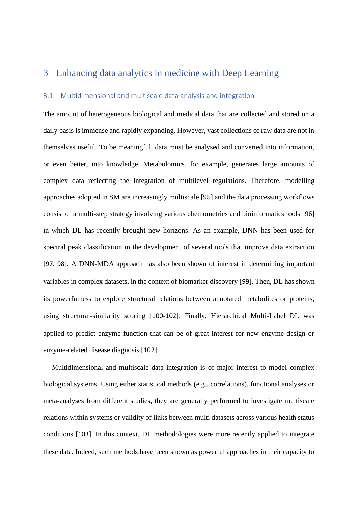# 3 Enhancing data analytics in medicine with Deep Learning

## 3.1 Multidimensional and multiscale data analysis and integration

The amount of heterogeneous biological and medical data that are collected and stored on a daily basis is immense and rapidly expanding. However, vast collections of raw data are not in themselves useful. To be meaningful, data must be analysed and converted into information, or even better, into knowledge. Metabolomics, for example, generates large amounts of complex data reflecting the integration of multilevel regulations. Therefore, modelling approaches adopted in SM are increasingly multiscale [\[95\]](#page-39-3) and the data processing workflows consist of a multi-step strategy involving various chemometrics and bioinformatics tools [\[96\]](#page-39-4) in which DL has recently brought new horizons. As an example, DNN has been used for spectral peak classification in the development of several tools that improve data extraction [\[](#page-39-5)[97](#page-39-5), [98](#page-39-6)]. A DNN-MDA approach has also been shown of interest in determining important variables in complex datasets, in the context of biomarker discovery [\[](#page-39-7)[99](#page-39-7)]. Then, DL has shown its powerfulness to explore structural relations between annotated metabolites or proteins, using structural-similarity scoring [[100](#page-39-8)[-](#page-40-0)[102](#page-40-0)]. Finally, Hierarchical Multi-Label DL was applied to predict enzyme function that can be of great interest for new enzyme design or enzyme-related disease diagnosis [[102](#page-40-0)].

Multidimensional and multiscale data integration is of major interest to model complex biological systems. Using either statistical methods (e.g., correlations), functional analyses or meta-analyses from different studies, they are generally performed to investigate multiscale relations within systems or validity of links between multi datasets across various health status conditions [[103](#page-40-1)]. In this context, DL methodologies were more recently applied to integrate these data. Indeed, such methods have been shown as powerful approaches in their capacity to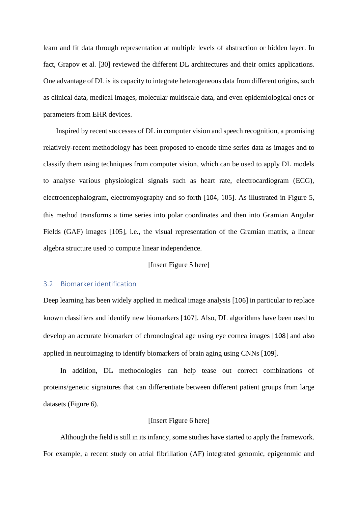learn and fit data through representation at multiple levels of abstraction or hidden layer. In fact, Grapov et al. [\[30\]](#page-32-6) reviewed the different DL architectures and their omics applications. One advantage of DL is its capacity to integrate heterogeneous data from different origins, such as clinical data, medical images, molecular multiscale data, and even epidemiological ones or parameters from EHR devices.

Inspired by recent successes of DL in computer vision and speech recognition, a promising relatively-recent methodology has been proposed to encode time series data as images and to classify them using techniques from computer vision, which can be used to apply DL models to analyse various physiological signals such as heart rate, electrocardiogram (ECG), electroencephalogram, electromyography and so forth [[104](#page-40-2), [105\]](#page-40-3). As illustrated in Figure 5, this method transforms a time series into polar coordinates and then into Gramian Angular Fields (GAF) images [\[105\]](#page-40-3), i.e., the visual representation of the Gramian matrix, a linear algebra structure used to compute linear independence.

#### [Insert Figure 5 here]

## 3.2 Biomarker identification

Deep learning has been widely applied in medical image analysis [\[](#page-40-4)[106](#page-40-4)] in particular to replace known classifiers and identify new biomarkers [[107](#page-40-5)]. Also, DL algorithms have been used to develop an accurate biomarker of chronological age using eye cornea images [[108](#page-40-6)] and also applied in neuroimaging to identify biomarkers of brain aging using CNNs [[109](#page-40-7)].

In addition, DL methodologies can help tease out correct combinations of proteins/genetic signatures that can differentiate between different patient groups from large datasets (Figure 6).

### [Insert Figure 6 here]

Although the field is still in its infancy, some studies have started to apply the framework. For example, a recent study on atrial fibrillation (AF) integrated genomic, epigenomic and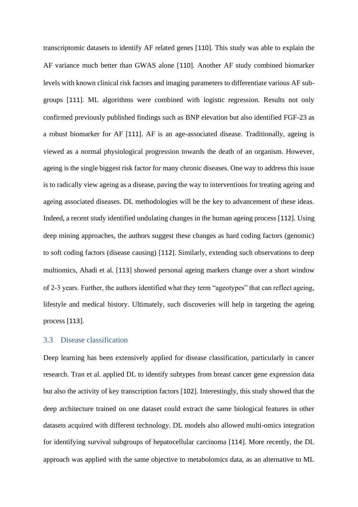transcriptomic datasets to identify AF related genes [[110](#page-40-8)]. This study was able to explain the AF variance much better than GWAS alone [[110](#page-40-8)]. Another AF study combined biomarker levels with known clinical risk factors and imaging parameters to differentiate various AF subgroups [\[](#page-40-9)[111](#page-40-9)]. ML algorithms were combined with logistic regression. Results not only confirmed previously published findings such as BNP elevation but also identified FGF-23 as a robust biomarker for AF [\[](#page-40-9)[111](#page-40-9)]. AF is an age-associated disease. Traditionally, ageing is viewed as a normal physiological progression towards the death of an organism. However, ageing is the single biggest risk factor for many chronic diseases. One way to address this issue is to radically view ageing as a disease, paving the way to interventions for treating ageing and ageing associated diseases. DL methodologies will be the key to advancement of these ideas. Indeed, a recent study identified undulating changes in the human ageing process [[112](#page-41-0)]. Using deep mining approaches, the authors suggest these changes as hard coding factors (genomic) to soft coding factors (disease causing) [[112](#page-41-0)]. Similarly, extending such observations to deep multiomics, Ahadi et al. [\[](#page-41-1)[113](#page-41-1)] showed personal ageing markers change over a short window of 2-3 years. Further, the authors identified what they term "ageotypes" that can reflect ageing, lifestyle and medical history. Ultimately, such discoveries will help in targeting the ageing process [\[](#page-41-1)[113](#page-41-1)].

## 3.3 Disease classification

Deep learning has been extensively applied for disease classification, particularly in cancer research. Tran et al. applied DL to identify subtypes from breast cancer gene expression data but also the activity of key transcription factors [\[](#page-40-0)[102](#page-40-0)]. Interestingly, this study showed that the deep architecture trained on one dataset could extract the same biological features in other datasets acquired with different technology. DL models also allowed multi-omics integration for identifying survival subgroups of hepatocellular carcinoma [[114](#page-41-2)]. More recently, the DL approach was applied with the same objective to metabolomics data, as an alternative to ML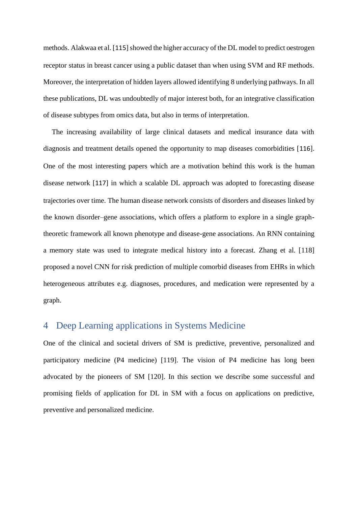methods. Alakwaa et al. [\[](#page-41-3)[115](#page-41-3)] showed the higher accuracy of the DL model to predict oestrogen receptor status in breast cancer using a public dataset than when using SVM and RF methods. Moreover, the interpretation of hidden layers allowed identifying 8 underlying pathways. In all these publications, DL was undoubtedly of major interest both, for an integrative classification of disease subtypes from omics data, but also in terms of interpretation.

The increasing availability of large clinical datasets and medical insurance data with diagnosis and treatment details opened the opportunity to map diseases comorbidities [\[](#page-41-4)[116](#page-41-4)]. One of the most interesting papers which are a motivation behind this work is the human disease network [[117](#page-41-5)] in which a scalable DL approach was adopted to forecasting disease trajectories over time. The human disease network consists of disorders and diseases linked by the known disorder–gene associations, which offers a platform to explore in a single graphtheoretic framework all known phenotype and disease-gene associations. An RNN containing a memory state was used to integrate medical history into a forecast. Zhang et al. [\[118\]](#page-41-6) proposed a novel CNN for risk prediction of multiple comorbid diseases from EHRs in which heterogeneous attributes e.g. diagnoses, procedures, and medication were represented by a graph.

# 4 Deep Learning applications in Systems Medicine

One of the clinical and societal drivers of SM is predictive, preventive, personalized and participatory medicine (P4 medicine) [\[119\]](#page-41-7). The vision of P4 medicine has long been advocated by the pioneers of SM [\[120\]](#page-41-8). In this section we describe some successful and promising fields of application for DL in SM with a focus on applications on predictive, preventive and personalized medicine.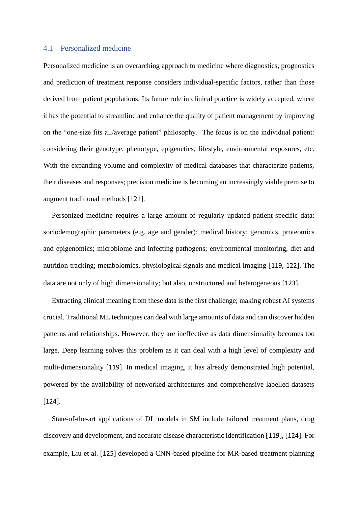### 4.1 Personalized medicine

Personalized medicine is an overarching approach to medicine where diagnostics, prognostics and prediction of treatment response considers individual-specific factors, rather than those derived from patient populations. Its future role in clinical practice is widely accepted, where it has the potential to streamline and enhance the quality of patient management by improving on the "one-size fits all/average patient" philosophy. The focus is on the individual patient: considering their genotype, phenotype, epigenetics, lifestyle, environmental exposures, etc. With the expanding volume and complexity of medical databases that characterize patients, their diseases and responses; precision medicine is becoming an increasingly viable premise to augment traditional methods [\[121\]](#page-42-0).

Personized medicine requires a large amount of regularly updated patient-specific data: sociodemographic parameters (e.g. age and gender); medical history; genomics, proteomics and epigenomics; microbiome and infecting pathogens; environmental monitoring, diet and nutrition tracking; metabolomics, physiological signals and medical imaging [[119](#page-41-7), [122](#page-42-1)]. The data are not only of high dimensionality; but also, unstructured and heterogeneous [\[](#page-42-2)[123](#page-42-2)].

Extracting clinical meaning from these data is the first challenge; making robust AI systems crucial. Traditional ML techniques can deal with large amounts of data and can discover hidden patterns and relationships. However, they are ineffective as data dimensionality becomes too large. Deep learning solves this problem as it can deal with a high level of complexity and multi-dimensionality [[119](#page-41-7)]. In medical imaging, it has already demonstrated high potential, powered by the availability of networked architectures and comprehensive labelled datasets [\[](#page-42-3)[124](#page-42-3)].

State-of-the-art applications of DL models in SM include tailored treatment plans, drug discovery and development, and accurate disease characteristic identification [[119](#page-41-7)], [\[](#page-42-3)[124](#page-42-3)]. For example, Liu et al. [[125](#page-42-4)] developed a CNN-based pipeline for MR-based treatment planning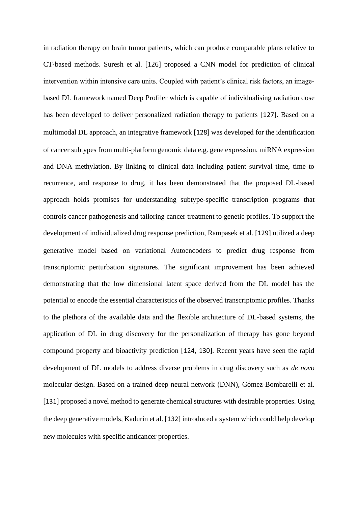in radiation therapy on brain tumor patients, which can produce comparable plans relative to CT-based methods. Suresh et al. [\[126\]](#page-42-5) proposed a CNN model for prediction of clinical intervention within intensive care units. Coupled with patient's clinical risk factors, an imagebased DL framework named Deep Profiler which is capable of individualising radiation dose has been developed to deliver personalized radiation therapy to patients [[127](#page-42-6)]. Based on a multimodal DL approach, an integrative framework [[128](#page-42-7)] was developed for the identification of cancer subtypes from multi-platform genomic data e.g. gene expression, miRNA expression and DNA methylation. By linking to clinical data including patient survival time, time to recurrence, and response to drug, it has been demonstrated that the proposed DL-based approach holds promises for understanding subtype-specific transcription programs that controls cancer pathogenesis and tailoring cancer treatment to genetic profiles. To support the development of individualized drug response prediction, Rampasek et al. [\[](#page-42-8)[129](#page-42-8)] utilized a deep generative model based on variational Autoencoders to predict drug response from transcriptomic perturbation signatures. The significant improvement has been achieved demonstrating that the low dimensional latent space derived from the DL model has the potential to encode the essential characteristics of the observed transcriptomic profiles. Thanks to the plethora of the available data and the flexible architecture of DL-based systems, the application of DL in drug discovery for the personalization of therapy has gone beyond compound property and bioactivity prediction [[124](#page-42-3), [130](#page-43-0)]. Recent years have seen the rapid development of DL models to address diverse problems in drug discovery such as *de novo* molecular design. Based on a trained deep neural network (DNN), Gómez-Bombarelli et al. [\[](#page-43-1)[131](#page-43-1)] proposed a novel method to generate chemical structures with desirable properties. Using the deep generative models, Kadurin et al. [[132](#page-43-2)] introduced a system which could help develop new molecules with specific anticancer properties.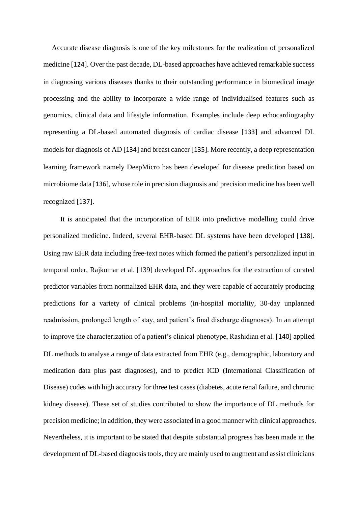Accurate disease diagnosis is one of the key milestones for the realization of personalized medicine [[124](#page-42-3)]. Over the past decade, DL-based approaches have achieved remarkable success in diagnosing various diseases thanks to their outstanding performance in biomedical image processing and the ability to incorporate a wide range of individualised features such as genomics, clinical data and lifestyle information. Examples include deep echocardiography representing a DL-based automated diagnosis of cardiac disease [\[](#page-43-3)[133](#page-43-3)] and advanced DL models for diagnosis of AD [[134](#page-43-4)] and breast cancer [[135](#page-43-5)]. More recently, a deep representation learning framework namely DeepMicro has been developed for disease prediction based on microbiome data [[136](#page-43-6)], whose role in precision diagnosis and precision medicine has been well recognized [\[](#page-44-0)[137](#page-44-0)].

It is anticipated that the incorporation of EHR into predictive modelling could drive personalized medicine. Indeed, several EHR-based DL systems have been developed [[138](#page-44-1)]. Using raw EHR data including free-text notes which formed the patient's personalized input in temporal order, Rajkomar et al. [\[139\]](#page-44-2) developed DL approaches for the extraction of curated predictor variables from normalized EHR data, and they were capable of accurately producing predictions for a variety of clinical problems (in-hospital mortality, 30-day unplanned readmission, prolonged length of stay, and patient's final discharge diagnoses). In an attempt to improve the characterization of a patient's clinical phenotype, Rashidian et al. [[140](#page-44-3)] applied DL methods to analyse a range of data extracted from EHR (e.g., demographic, laboratory and medication data plus past diagnoses), and to predict ICD (International Classification of Disease) codes with high accuracy for three test cases (diabetes, acute renal failure, and chronic kidney disease). These set of studies contributed to show the importance of DL methods for precision medicine; in addition, they were associated in a good manner with clinical approaches. Nevertheless, it is important to be stated that despite substantial progress has been made in the development of DL-based diagnosis tools, they are mainly used to augment and assist clinicians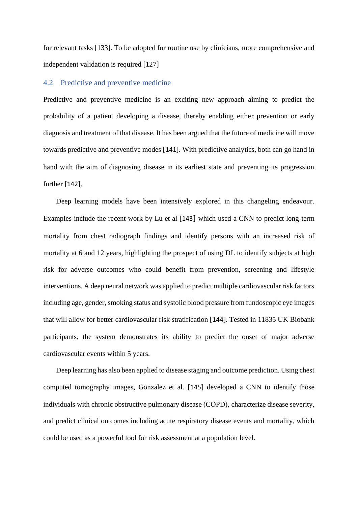for relevant tasks [\[133\]](#page-43-3). To be adopted for routine use by clinicians, more comprehensive and independent validation is required [\[127\]](#page-42-6)

### 4.2 Predictive and preventive medicine

Predictive and preventive medicine is an exciting new approach aiming to predict the probability of a patient developing a disease, thereby enabling either prevention or early diagnosis and treatment of that disease. It has been argued that the future of medicine will move towards predictive and preventive modes [[141](#page-44-4)]. With predictive analytics, both can go hand in hand with the aim of diagnosing disease in its earliest state and preventing its progression further [\[](#page-44-5)[142](#page-44-5)].

Deep learning models have been intensively explored in this changeling endeavour. Examples include the recent work by Lu et al [[143](#page-44-6)] which used a CNN to predict long-term mortality from chest radiograph findings and identify persons with an increased risk of mortality at 6 and 12 years, highlighting the prospect of using DL to identify subjects at high risk for adverse outcomes who could benefit from prevention, screening and lifestyle interventions. A deep neural network was applied to predict multiple cardiovascular risk factors including age, gender, smoking status and systolic blood pressure from fundoscopic eye images that will allow for better cardiovascular risk stratification [[144](#page-44-7)]. Tested in 11835 UK Biobank participants, the system demonstrates its ability to predict the onset of major adverse cardiovascular events within 5 years.

Deep learning has also been applied to disease staging and outcome prediction. Using chest computed tomography images, Gonzalez et al. [[145](#page-44-8)] developed a CNN to identify those individuals with chronic obstructive pulmonary disease (COPD), characterize disease severity, and predict clinical outcomes including acute respiratory disease events and mortality, which could be used as a powerful tool for risk assessment at a population level.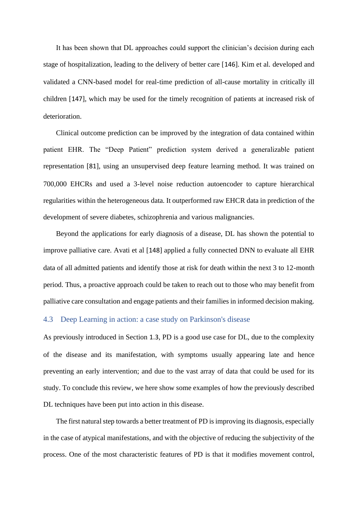It has been shown that DL approaches could support the clinician's decision during each stage of hospitalization, leading to the delivery of better care [[146](#page-45-0)]. Kim et al. developed and validated a CNN-based model for real-time prediction of all-cause mortality in critically ill children [[147](#page-45-1)], which may be used for the timely recognition of patients at increased risk of deterioration.

Clinical outcome prediction can be improved by the integration of data contained within patient EHR. The "Deep Patient" prediction system derived a generalizable patient representation [[81](#page-38-0)], using an unsupervised deep feature learning method. It was trained on 700,000 EHCRs and used a 3-level noise reduction autoencoder to capture hierarchical regularities within the heterogeneous data. It outperformed raw EHCR data in prediction of the development of severe diabetes, schizophrenia and various malignancies.

Beyond the applications for early diagnosis of a disease, DL has shown the potential to improve palliative care. Avati et al [[148](#page-45-2)] applied a fully connected DNN to evaluate all EHR data of all admitted patients and identify those at risk for death within the next 3 to 12-month period. Thus, a proactive approach could be taken to reach out to those who may benefit from palliative care consultation and engage patients and their families in informed decision making.

## 4.3 Deep Learning in action: a case study on Parkinson's disease

As previously introduced in Section [1.3](#page-5-0), PD is a good use case for DL, due to the complexity of the disease and its manifestation, with symptoms usually appearing late and hence preventing an early intervention; and due to the vast array of data that could be used for its study. To conclude this review, we here show some examples of how the previously described DL techniques have been put into action in this disease.

The first natural step towards a better treatment of PD is improving its diagnosis, especially in the case of atypical manifestations, and with the objective of reducing the subjectivity of the process. One of the most characteristic features of PD is that it modifies movement control,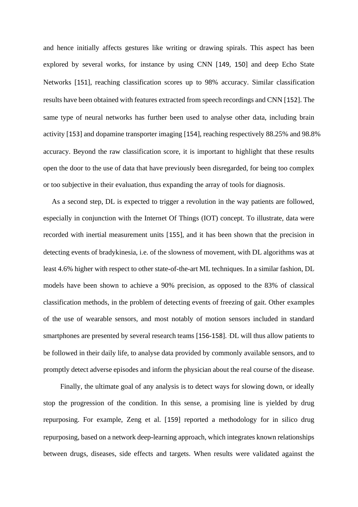and hence initially affects gestures like writing or drawing spirals. This aspect has been explored by several works, for instance by using CNN [\[](#page-45-3)[149](#page-45-3), [150](#page-45-4)] and deep Echo State Networks [\[](#page-45-5)[151](#page-45-5)], reaching classification scores up to 98% accuracy. Similar classification results have been obtained with features extracted from speech recordings and CNN [[152](#page-45-6)]. The same type of neural networks has further been used to analyse other data, including brain activity [\[](#page-45-7)[153](#page-45-7)] and dopamine transporter imaging [\[](#page-45-8)[154](#page-45-8)], reaching respectively 88.25% and 98.8% accuracy. Beyond the raw classification score, it is important to highlight that these results open the door to the use of data that have previously been disregarded, for being too complex or too subjective in their evaluation, thus expanding the array of tools for diagnosis.

As a second step, DL is expected to trigger a revolution in the way patients are followed, especially in conjunction with the Internet Of Things (IOT) concept. To illustrate, data were recorded with inertial measurement units [[155](#page-45-9)], and it has been shown that the precision in detecting events of bradykinesia, i.e. of the slowness of movement, with DL algorithms was at least 4.6% higher with respect to other state-of-the-art ML techniques. In a similar fashion, DL models have been shown to achieve a 90% precision, as opposed to the 83% of classical classification methods, in the problem of detecting events of freezing of gait. Other examples of the use of wearable sensors, and most notably of motion sensors included in standard smartphones are presented by several research teams [\[](#page-46-0)[156](#page-46-0)-[158](#page-46-1)]. 'DL will thus allow patients to be followed in their daily life, to analyse data provided by commonly available sensors, and to promptly detect adverse episodes and inform the physician about the real course of the disease.

Finally, the ultimate goal of any analysis is to detect ways for slowing down, or ideally stop the progression of the condition. In this sense, a promising line is yielded by drug repurposing. For example, Zeng et al. [[159](#page-46-2)] reported a methodology for in silico drug repurposing, based on a network deep-learning approach, which integrates known relationships between drugs, diseases, side effects and targets. When results were validated against the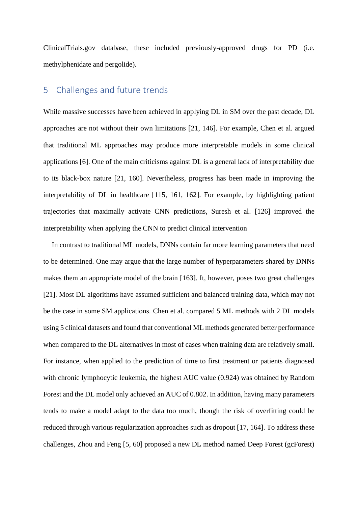ClinicalTrials.gov database, these included previously-approved drugs for PD (i.e. methylphenidate and pergolide).

# 5 Challenges and future trends

While massive successes have been achieved in applying DL in SM over the past decade, DL approaches are not without their own limitations [\[21,](#page-31-9) [146\]](#page-45-0). For example, Chen et al. argued that traditional ML approaches may produce more interpretable models in some clinical applications [\[6\]](#page-30-9). One of the main criticisms against DL is a general lack of interpretability due to its black-box nature [\[21,](#page-31-9) [160\]](#page-46-3). Nevertheless, progress has been made in improving the interpretability of DL in healthcare [\[115,](#page-41-3) [161,](#page-46-4) [162\]](#page-46-5). For example, by highlighting patient trajectories that maximally activate CNN predictions, Suresh et al. [\[126\]](#page-42-5) improved the interpretability when applying the CNN to predict clinical intervention

In contrast to traditional ML models, DNNs contain far more learning parameters that need to be determined. One may argue that the large number of hyperparameters shared by DNNs makes them an appropriate model of the brain [\[163\]](#page-47-0). It, however, poses two great challenges [\[21\]](#page-31-9). Most DL algorithms have assumed sufficient and balanced training data, which may not be the case in some SM applications. Chen et al. compared 5 ML methods with 2 DL models using 5 clinical datasets and found that conventional ML methods generated better performance when compared to the DL alternatives in most of cases when training data are relatively small. For instance, when applied to the prediction of time to first treatment or patients diagnosed with chronic lymphocytic leukemia, the highest AUC value (0.924) was obtained by Random Forest and the DL model only achieved an AUC of 0.802. In addition, having many parameters tends to make a model adapt to the data too much, though the risk of overfitting could be reduced through various regularization approaches such as dropout [\[17,](#page-31-5) [164\]](#page-47-1). To address these challenges, Zhou and Feng [\[5,](#page-30-3) [60\]](#page-35-8) proposed a new DL method named Deep Forest (gcForest)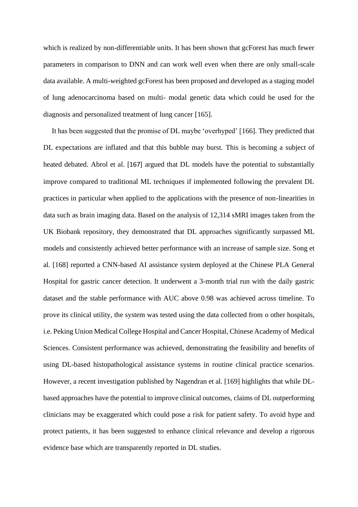which is realized by non-differentiable units. It has been shown that gcForest has much fewer parameters in comparison to DNN and can work well even when there are only small-scale data available. A multi-weighted gcForest has been proposed and developed as a staging model of lung adenocarcinoma based on multi- modal genetic data which could be used for the diagnosis and personalized treatment of lung cancer [\[165\]](#page-47-2).

It has been suggested that the promise of DL maybe 'overhyped' [\[166\]](#page-47-3). They predicted that DL expectations are inflated and that this bubble may burst. This is becoming a subject of heated debated. Abrol et al. [\[167\]](#page-47-4) argued that DL models have the potential to substantially improve compared to traditional ML techniques if implemented following the prevalent DL practices in particular when applied to the applications with the presence of non-linearities in data such as brain imaging data. Based on the analysis of 12,314 sMRI images taken from the UK Biobank repository, they demonstrated that DL approaches significantly surpassed ML models and consistently achieved better performance with an increase of sample size. Song et al. [\[168\]](#page-47-5) reported a CNN-based AI assistance system deployed at the Chinese PLA General Hospital for gastric cancer detection. It underwent a 3-month trial run with the daily gastric dataset and the stable performance with AUC above 0.98 was achieved across timeline. To prove its clinical utility, the system was tested using the data collected from o other hospitals, i.e. Peking Union Medical College Hospital and Cancer Hospital, Chinese Academy of Medical Sciences. Consistent performance was achieved, demonstrating the feasibility and benefits of using DL-based histopathological assistance systems in routine clinical practice scenarios. However, a recent investigation published by Nagendran et al. [\[169\]](#page-47-6) highlights that while DLbased approaches have the potential to improve clinical outcomes, claims of DL outperforming clinicians may be exaggerated which could pose a risk for patient safety. To avoid hype and protect patients, it has been suggested to enhance clinical relevance and develop a rigorous evidence base which are transparently reported in DL studies.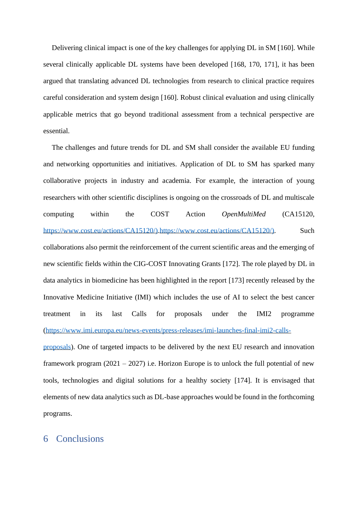Delivering clinical impact is one of the key challenges for applying DL in SM [\[160\]](#page-46-3). While several clinically applicable DL systems have been developed [\[168,](#page-47-5) [170,](#page-47-7) [171\]](#page-47-8), it has been argued that translating advanced DL technologies from research to clinical practice requires careful consideration and system design [\[160\]](#page-46-3). Robust clinical evaluation and using clinically applicable metrics that go beyond traditional assessment from a technical perspective are essential.

The challenges and future trends for DL and SM shall consider the available EU funding and networking opportunities and initiatives. Application of DL to SM has sparked many collaborative projects in industry and academia. For example, the interaction of young researchers with other scientific disciplines is ongoing on the crossroads of DL and multiscale computing within the COST Action *OpenMultiMed* (CA15120, [https://www.cost.eu/actions/CA15120/\)](https://www.cost.eu/actions/CA15120/#tabs|Name:overview)[.https://www.cost.eu/actions/CA15120/\)](https://www.cost.eu/actions/CA15120/). Such collaborations also permit the reinforcement of the current scientific areas and the emerging of new scientific fields within the CIG-COST Innovating Grants [\[172\]](#page-48-0). The role played by DL in data analytics in biomedicine has been highlighted in the report [\[173\]](#page-48-1) recently released by the Innovative Medicine Initiative (IMI) which includes the use of AI to select the best cancer treatment in its last Calls for proposals under the IMI2 programme [\(https://www.imi.europa.eu/news-events/press-releases/imi-launches-final-imi2-calls-](https://www.imi.europa.eu/news-events/press-releases/imi-launches-final-imi2-calls-proposals)

[proposals\)](https://www.imi.europa.eu/news-events/press-releases/imi-launches-final-imi2-calls-proposals). One of targeted impacts to be delivered by the next EU research and innovation framework program  $(2021 - 2027)$  i.e. Horizon Europe is to unlock the full potential of new tools, technologies and digital solutions for a healthy society [\[174\]](#page-48-2). It is envisaged that elements of new data analytics such as DL-base approaches would be found in the forthcoming programs.

# 6 Conclusions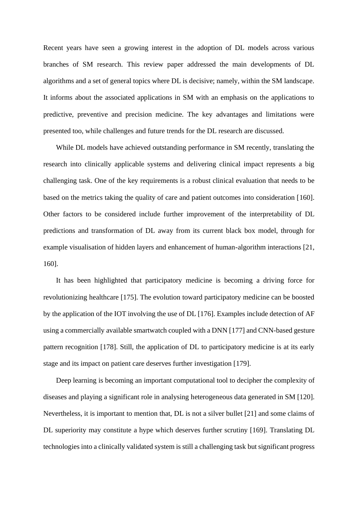Recent years have seen a growing interest in the adoption of DL models across various branches of SM research. This review paper addressed the main developments of DL algorithms and a set of general topics where DL is decisive; namely, within the SM landscape. It informs about the associated applications in SM with an emphasis on the applications to predictive, preventive and precision medicine. The key advantages and limitations were presented too, while challenges and future trends for the DL research are discussed.

While DL models have achieved outstanding performance in SM recently, translating the research into clinically applicable systems and delivering clinical impact represents a big challenging task. One of the key requirements is a robust clinical evaluation that needs to be based on the metrics taking the quality of care and patient outcomes into consideration [\[160\]](#page-46-3). Other factors to be considered include further improvement of the interpretability of DL predictions and transformation of DL away from its current black box model, through for example visualisation of hidden layers and enhancement of human-algorithm interactions [\[21,](#page-31-9) [160\]](#page-46-3).

It has been highlighted that participatory medicine is becoming a driving force for revolutionizing healthcare [\[175\]](#page-48-3). The evolution toward participatory medicine can be boosted by the application of the IOT involving the use of DL [\[176\]](#page-48-4). Examples include detection of AF using a commercially available smartwatch coupled with a DNN [\[177\]](#page-48-5) and CNN-based gesture pattern recognition [\[178\]](#page-48-6). Still, the application of DL to participatory medicine is at its early stage and its impact on patient care deserves further investigation [\[179\]](#page-48-7).

Deep learning is becoming an important computational tool to decipher the complexity of diseases and playing a significant role in analysing heterogeneous data generated in SM [\[120\]](#page-41-8). Nevertheless, it is important to mention that, DL is not a silver bullet [\[21\]](#page-31-9) and some claims of DL superiority may constitute a hype which deserves further scrutiny [\[169\]](#page-47-6). Translating DL technologies into a clinically validated system is still a challenging task but significant progress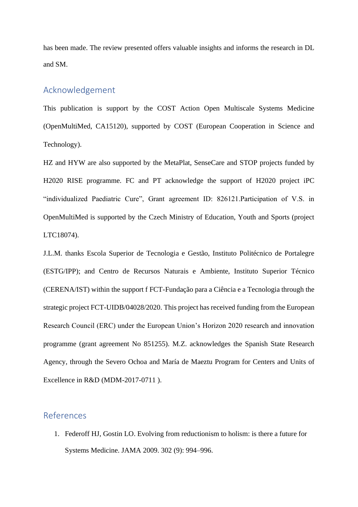has been made. The review presented offers valuable insights and informs the research in DL and SM.

# Acknowledgement

This publication is support by the COST Action Open Multiscale Systems Medicine (OpenMultiMed, CA15120), supported by COST (European Cooperation in Science and Technology).

HZ and HYW are also supported by the MetaPlat, SenseCare and STOP projects funded by H2020 RISE programme. FC and PT acknowledge the support of H2020 project iPC "individualized Paediatric Cure", Grant agreement ID: 826121.Participation of V.S. in OpenMultiMed is supported by the Czech Ministry of Education, Youth and Sports (project LTC18074).

J.L.M. thanks Escola Superior de Tecnologia e Gestão, Instituto Politécnico de Portalegre (ESTG/IPP); and Centro de Recursos Naturais e Ambiente, Instituto Superior Técnico (CERENA/IST) within the support f FCT-Fundação para a Ciência e a Tecnologia through the strategic project FCT-UIDB/04028/2020. This project has received funding from the European Research Council (ERC) under the European Union's Horizon 2020 research and innovation programme (grant agreement No 851255). M.Z. acknowledges the Spanish State Research Agency, through the Severo Ochoa and María de Maeztu Program for Centers and Units of Excellence in R&D (MDM-2017-0711 ).

# References

<span id="page-29-0"></span>1. Federoff HJ, Gostin LO. Evolving from reductionism to holism: is there a future for Systems Medicine. JAMA 2009. 302 (9): 994–996.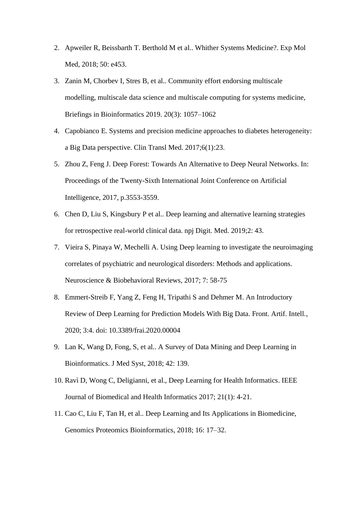- <span id="page-30-0"></span>2. Apweiler R, Beissbarth T. Berthold M et al.. Whither Systems Medicine?. Exp Mol Med, 2018; 50: e453.
- <span id="page-30-1"></span>3. Zanin M, Chorbev I, Stres B, et al.. Community effort endorsing multiscale modelling, multiscale data science and multiscale computing for systems medicine, Briefings in Bioinformatics 2019. 20(3): 1057–1062
- <span id="page-30-2"></span>4. Capobianco E. Systems and precision medicine approaches to diabetes heterogeneity: a Big Data perspective. Clin Transl Med. 2017;6(1):23.
- <span id="page-30-3"></span>5. Zhou Z, Feng J. Deep Forest: Towards An Alternative to Deep Neural Networks. In: Proceedings of the Twenty-Sixth International Joint Conference on Artificial Intelligence, 2017, p.3553-3559.
- <span id="page-30-9"></span>6. Chen D, Liu S, Kingsbury P et al.. Deep learning and alternative learning strategies for retrospective real-world clinical data. npj Digit. Med. 2019;2: 43.
- <span id="page-30-4"></span>7. Vieira S, Pinaya W, Mechelli A. Using Deep learning to investigate the neuroimaging correlates of psychiatric and neurological disorders: Methods and applications. Neuroscience & Biobehavioral Reviews, 2017; 7: 58-75
- <span id="page-30-5"></span>8. Emmert-Streib F, Yang Z, Feng H, Tripathi S and Dehmer M. An Introductory Review of Deep Learning for Prediction Models With Big Data. Front. Artif. Intell., 2020; 3:4. doi: 10.3389/frai.2020.00004
- <span id="page-30-6"></span>9. Lan K, Wang D, Fong, S, et al.. A Survey of Data Mining and Deep Learning in Bioinformatics. J Med Syst, 2018; 42: 139.
- <span id="page-30-7"></span>10. Ravì D, Wong C, Deligianni, et al., Deep Learning for Health Informatics. IEEE Journal of Biomedical and Health Informatics 2017; 21(1): 4-21.
- <span id="page-30-8"></span>11. Cao C, Liu F, Tan H, et al.. Deep Learning and Its Applications in Biomedicine, Genomics Proteomics Bioinformatics, 2018; 16: 17–32.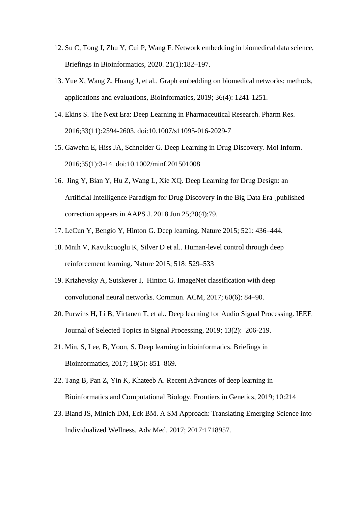- <span id="page-31-0"></span>12. Su C, Tong J, Zhu Y, Cui P, Wang F. Network embedding in biomedical data science, Briefings in Bioinformatics, 2020. 21(1):182–197.
- <span id="page-31-1"></span>13. Yue X, Wang Z, Huang J, et al.. Graph embedding on biomedical networks: methods, applications and evaluations, Bioinformatics, 2019; 36(4): 1241-1251.
- <span id="page-31-2"></span>14. Ekins S. The Next Era: Deep Learning in Pharmaceutical Research. Pharm Res. 2016;33(11):2594-2603. doi:10.1007/s11095-016-2029-7
- <span id="page-31-3"></span>15. Gawehn E, Hiss JA, Schneider G. Deep Learning in Drug Discovery. Mol Inform. 2016;35(1):3-14. doi:10.1002/minf.201501008
- <span id="page-31-4"></span>16. Jing Y, Bian Y, Hu Z, Wang L, Xie XQ. Deep Learning for Drug Design: an Artificial Intelligence Paradigm for Drug Discovery in the Big Data Era [published correction appears in AAPS J. 2018 Jun 25;20(4):79.
- <span id="page-31-5"></span>17. LeCun Y, Bengio Y, Hinton G. Deep learning. Nature 2015; 521: 436–444.
- <span id="page-31-6"></span>18. Mnih V, Kavukcuoglu K, Silver D et al.. Human-level control through deep reinforcement learning. Nature 2015; 518: 529–533
- <span id="page-31-7"></span>19. Krizhevsky A, Sutskever I, Hinton G. ImageNet classification with deep convolutional neural networks. Commun. ACM, 2017; 60(6): 84–90.
- <span id="page-31-8"></span>20. Purwins H, Li B, Virtanen T, et al.. Deep learning for Audio Signal Processing. IEEE Journal of Selected Topics in Signal Processing, 2019; 13(2): 206-219.
- <span id="page-31-9"></span>21. Min, S, Lee, B, Yoon, S. Deep learning in bioinformatics. Briefings in Bioinformatics, 2017; 18(5): 851–869.
- <span id="page-31-10"></span>22. Tang B, Pan Z, Yin K, Khateeb A. Recent Advances of deep learning in Bioinformatics and Computational Biology. Frontiers in Genetics, 2019; 10:214
- <span id="page-31-11"></span>23. Bland JS, Minich DM, Eck BM. A SM Approach: Translating Emerging Science into Individualized Wellness. Adv Med. 2017; 2017:1718957.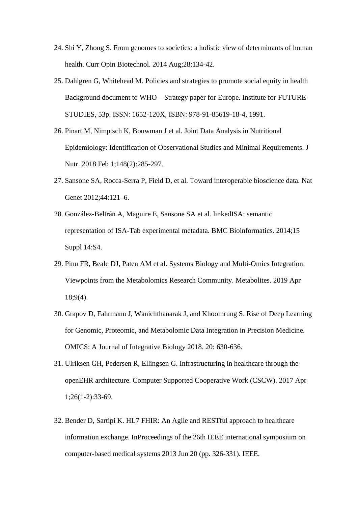- <span id="page-32-0"></span>24. Shi Y, Zhong S. From genomes to societies: a holistic view of determinants of human health. Curr Opin Biotechnol. 2014 Aug;28:134-42.
- <span id="page-32-1"></span>25. Dahlgren G, Whitehead M. Policies and strategies to promote social equity in health Background document to WHO – Strategy paper for Europe. Institute for FUTURE STUDIES, 53p. ISSN: 1652-120X, ISBN: 978-91-85619-18-4, 1991.
- <span id="page-32-2"></span>26. Pinart M, Nimptsch K, Bouwman J et al. Joint Data Analysis in Nutritional Epidemiology: Identification of Observational Studies and Minimal Requirements. J Nutr. 2018 Feb 1;148(2):285-297.
- <span id="page-32-3"></span>27. Sansone SA, Rocca-Serra P, Field D, et al. Toward interoperable bioscience data. Nat Genet 2012;44:121–6.
- <span id="page-32-4"></span>28. González-Beltrán A, Maguire E, Sansone SA et al. linkedISA: semantic representation of ISA-Tab experimental metadata. BMC Bioinformatics. 2014;15 Suppl 14:S4.
- <span id="page-32-5"></span>29. Pinu FR, Beale DJ, Paten AM et al. Systems Biology and Multi-Omics Integration: Viewpoints from the Metabolomics Research Community. Metabolites. 2019 Apr 18;9(4).
- <span id="page-32-6"></span>30. Grapov D, Fahrmann J, Wanichthanarak J, and Khoomrung S. Rise of Deep Learning for Genomic, Proteomic, and Metabolomic Data Integration in Precision Medicine. OMICS: A Journal of Integrative Biology 2018. 20: 630-636.
- <span id="page-32-7"></span>31. Ulriksen GH, Pedersen R, Ellingsen G. Infrastructuring in healthcare through the openEHR architecture. Computer Supported Cooperative Work (CSCW). 2017 Apr 1;26(1-2):33-69.
- <span id="page-32-8"></span>32. Bender D, Sartipi K. HL7 FHIR: An Agile and RESTful approach to healthcare information exchange. InProceedings of the 26th IEEE international symposium on computer-based medical systems 2013 Jun 20 (pp. 326-331). IEEE.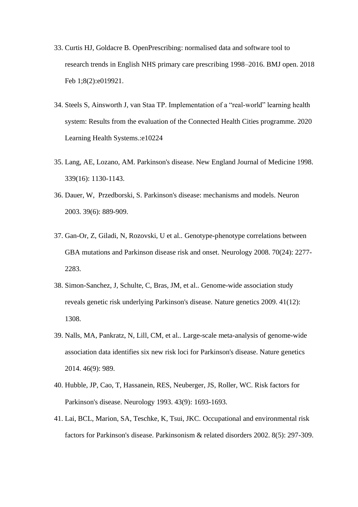- <span id="page-33-0"></span>33. Curtis HJ, Goldacre B. OpenPrescribing: normalised data and software tool to research trends in English NHS primary care prescribing 1998–2016. BMJ open. 2018 Feb 1;8(2):e019921.
- <span id="page-33-1"></span>34. Steels S, Ainsworth J, van Staa TP. Implementation of a "real‐world" learning health system: Results from the evaluation of the Connected Health Cities programme. 2020 Learning Health Systems.:e10224
- <span id="page-33-2"></span>35. Lang, AE, Lozano, AM. Parkinson's disease. New England Journal of Medicine 1998. 339(16): 1130-1143.
- <span id="page-33-3"></span>36. Dauer, W, Przedborski, S. Parkinson's disease: mechanisms and models. Neuron 2003. 39(6): 889-909.
- <span id="page-33-4"></span>37. Gan-Or, Z, Giladi, N, Rozovski, U et al.. Genotype-phenotype correlations between GBA mutations and Parkinson disease risk and onset. Neurology 2008. 70(24): 2277- 2283.
- <span id="page-33-5"></span>38. Simon-Sanchez, J, Schulte, C, Bras, JM, et al.. Genome-wide association study reveals genetic risk underlying Parkinson's disease. Nature genetics 2009. 41(12): 1308.
- <span id="page-33-6"></span>39. Nalls, MA, Pankratz, N, Lill, CM, et al.. Large-scale meta-analysis of genome-wide association data identifies six new risk loci for Parkinson's disease. Nature genetics 2014. 46(9): 989.
- <span id="page-33-7"></span>40. Hubble, JP, Cao, T, Hassanein, RES, Neuberger, JS, Roller, WC. Risk factors for Parkinson's disease. Neurology 1993. 43(9): 1693-1693.
- <span id="page-33-8"></span>41. Lai, BCL, Marion, SA, Teschke, K, Tsui, JKC. Occupational and environmental risk factors for Parkinson's disease. Parkinsonism & related disorders 2002. 8(5): 297-309.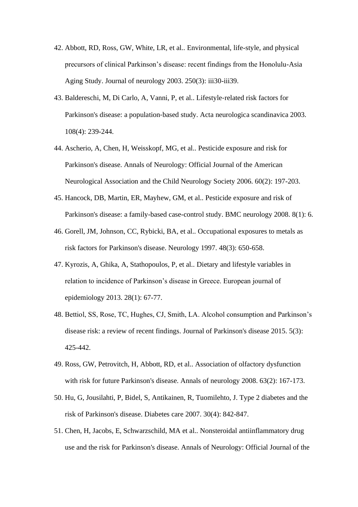- <span id="page-34-3"></span>42. Abbott, RD, Ross, GW, White, LR, et al.. Environmental, life-style, and physical precursors of clinical Parkinson's disease: recent findings from the Honolulu-Asia Aging Study. Journal of neurology 2003. 250(3): iii30-iii39.
- <span id="page-34-1"></span>43. Baldereschi, M, Di Carlo, A, Vanni, P, et al.. Lifestyle‐related risk factors for Parkinson's disease: a population‐based study. Acta neurologica scandinavica 2003. 108(4): 239-244.
- 44. Ascherio, A, Chen, H, Weisskopf, MG, et al.. Pesticide exposure and risk for Parkinson's disease. Annals of Neurology: Official Journal of the American Neurological Association and the Child Neurology Society 2006. 60(2): 197-203.
- 45. Hancock, DB, Martin, ER, Mayhew, GM, et al.. Pesticide exposure and risk of Parkinson's disease: a family-based case-control study. BMC neurology 2008. 8(1): 6.
- 46. Gorell, JM, Johnson, CC, Rybicki, BA, et al.. Occupational exposures to metals as risk factors for Parkinson's disease. Neurology 1997. 48(3): 650-658.
- <span id="page-34-0"></span>47. Kyrozis, A, Ghika, A, Stathopoulos, P, et al.. Dietary and lifestyle variables in relation to incidence of Parkinson's disease in Greece. European journal of epidemiology 2013. 28(1): 67-77.
- <span id="page-34-2"></span>48. Bettiol, SS, Rose, TC, Hughes, CJ, Smith, LA. Alcohol consumption and Parkinson's disease risk: a review of recent findings. Journal of Parkinson's disease 2015. 5(3): 425-442.
- <span id="page-34-4"></span>49. Ross, GW, Petrovitch, H, Abbott, RD, et al.. Association of olfactory dysfunction with risk for future Parkinson's disease. Annals of neurology 2008. 63(2): 167-173.
- <span id="page-34-5"></span>50. Hu, G, Jousilahti, P, Bidel, S, Antikainen, R, Tuomilehto, J. Type 2 diabetes and the risk of Parkinson's disease. Diabetes care 2007. 30(4): 842-847.
- 51. Chen, H, Jacobs, E, Schwarzschild, MA et al.. Nonsteroidal antiinflammatory drug use and the risk for Parkinson's disease. Annals of Neurology: Official Journal of the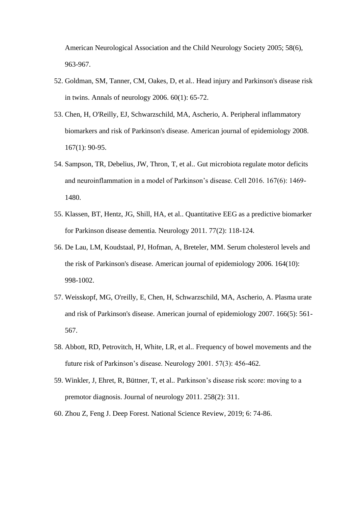American Neurological Association and the Child Neurology Society 2005; 58(6), 963-967.

- <span id="page-35-0"></span>52. Goldman, SM, Tanner, CM, Oakes, D, et al.. Head injury and Parkinson's disease risk in twins. Annals of neurology 2006. 60(1): 65-72.
- <span id="page-35-1"></span>53. Chen, H, O'Reilly, EJ, Schwarzschild, MA, Ascherio, A. Peripheral inflammatory biomarkers and risk of Parkinson's disease. American journal of epidemiology 2008. 167(1): 90-95.
- <span id="page-35-2"></span>54. Sampson, TR, Debelius, JW, Thron, T, et al.. Gut microbiota regulate motor deficits and neuroinflammation in a model of Parkinson's disease. Cell 2016. 167(6): 1469- 1480.
- <span id="page-35-3"></span>55. Klassen, BT, Hentz, JG, Shill, HA, et al.. Quantitative EEG as a predictive biomarker for Parkinson disease dementia. Neurology 2011. 77(2): 118-124.
- <span id="page-35-4"></span>56. De Lau, LM, Koudstaal, PJ, Hofman, A, Breteler, MM. Serum cholesterol levels and the risk of Parkinson's disease. American journal of epidemiology 2006. 164(10): 998-1002.
- <span id="page-35-5"></span>57. Weisskopf, MG, O'reilly, E, Chen, H, Schwarzschild, MA, Ascherio, A. Plasma urate and risk of Parkinson's disease. American journal of epidemiology 2007. 166(5): 561- 567.
- <span id="page-35-6"></span>58. Abbott, RD, Petrovitch, H, White, LR, et al.. Frequency of bowel movements and the future risk of Parkinson's disease. Neurology 2001. 57(3): 456-462.
- <span id="page-35-7"></span>59. Winkler, J, Ehret, R, Büttner, T, et al.. Parkinson's disease risk score: moving to a premotor diagnosis. Journal of neurology 2011. 258(2): 311.
- <span id="page-35-8"></span>60. Zhou Z, Feng J. Deep Forest. National Science Review, 2019; 6: 74-86.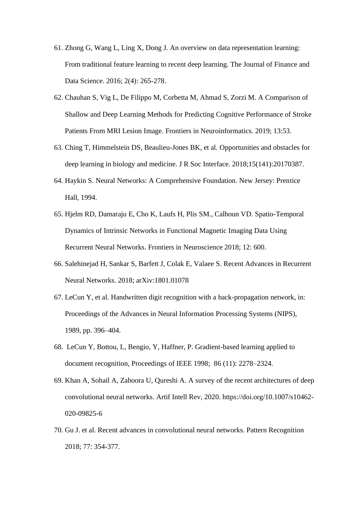- <span id="page-36-0"></span>61. Zhong G, Wang L, Ling X, Dong J. An overview on data representation learning: From traditional feature learning to recent deep learning. The Journal of Finance and Data Science. 2016; 2(4): 265-278.
- <span id="page-36-1"></span>62. Chauhan S, Vig L, De Filippo M, Corbetta M, Ahmad S, Zorzi M. A Comparison of Shallow and Deep Learning Methods for Predicting Cognitive Performance of Stroke Patients From MRI Lesion Image. Frontiers in Neuroinformatics. 2019; 13:53.
- <span id="page-36-2"></span>63. Ching T, Himmelstein DS, Beaulieu-Jones BK, et al. Opportunities and obstacles for deep learning in biology and medicine. J R Soc Interface. 2018;15(141):20170387.
- <span id="page-36-3"></span>64. Haykin S. Neural Networks: A Comprehensive Foundation. New Jersey: Prentice Hall, 1994.
- <span id="page-36-4"></span>65. Hjelm RD, Damaraju E, Cho K, Laufs H, Plis SM., Calhoun VD. Spatio-Temporal Dynamics of Intrinsic Networks in Functional Magnetic Imaging Data Using Recurrent Neural Networks. Frontiers in Neuroscience 2018; 12: 600.
- <span id="page-36-5"></span>66. Salehinejad H, Sankar S, Barfett J, Colak E, Valaee S. Recent Advances in Recurrent Neural Networks. 2018; arXiv:1801.01078
- <span id="page-36-6"></span>67. LeCun Y, et al. Handwritten digit recognition with a back-propagation network, in: Proceedings of the Advances in Neural Information Processing Systems (NIPS), 1989, pp. 396–404.
- <span id="page-36-7"></span>68. LeCun Y, Bottou, L, Bengio, Y, Haffner, P. Gradient-based learning applied to document recognition, Proceedings of IEEE 1998; 86 (11): 2278–2324.
- <span id="page-36-8"></span>69. Khan A, Sohail A, Zahoora U, Qureshi A. A survey of the recent architectures of deep convolutional neural networks. Artif Intell Rev, 2020. https://doi.org/10.1007/s10462- 020-09825-6
- <span id="page-36-9"></span>70. Gu J. et al. Recent advances in convolutional neural networks. Pattern Recognition 2018; 77: 354-377.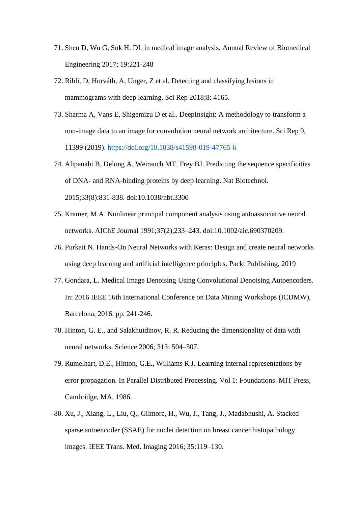- <span id="page-37-0"></span>71. Shen D, Wu G, Suk H. DL in medical image analysis. Annual Review of Biomedical Engineering 2017; 19:221-248
- <span id="page-37-1"></span>72. Ribli, D, Horváth, A, Unger, Z et al. Detecting and classifying lesions in mammograms with deep learning. Sci Rep 2018;8: 4165.
- <span id="page-37-2"></span>73. Sharma A, Vans E, Shigemizu D et al.. DeepInsight: A methodology to transform a non-image data to an image for convolution neural network architecture. Sci Rep 9, 11399 (2019).<https://doi.org/10.1038/s41598-019-47765-6>
- <span id="page-37-3"></span>74. Alipanahi B, Delong A, Weirauch MT, Frey BJ. Predicting the sequence specificities of DNA- and RNA-binding proteins by deep learning. Nat Biotechnol. 2015;33(8):831-838. doi:10.1038/nbt.3300
- <span id="page-37-4"></span>75. Kramer, M.A. Nonlinear principal component analysis using autoassociative neural networks. AIChE Journal 1991;37(2),233–243. doi:10.1002/aic.690370209.
- <span id="page-37-5"></span>76. Purkait N. Hands-On Neural Networks with Keras: Design and create neural networks using deep learning and artificial intelligence principles. Packt Publishing, 2019
- <span id="page-37-6"></span>77. Gondara, L. Medical Image Denoising Using Convolutional Denoising Autoencoders. In: 2016 IEEE 16th International Conference on Data Mining Workshops (ICDMW), Barcelona, 2016, pp. 241-246.
- <span id="page-37-7"></span>78. Hinton, G. E., and Salakhutdinov, R. R. Reducing the dimensionality of data with neural networks. Science 2006; 313: 504–507.
- <span id="page-37-8"></span>79. Rumelhart, D.E., Hinton, G.E., Williams R.J. Learning internal representations by error propagation. In Parallel Distributed Processing. Vol 1: Foundations. MIT Press, Cambridge, MA, 1986.
- <span id="page-37-9"></span>80. Xu, J., Xiang, L., Liu, Q., Gilmore, H., Wu, J., Tang, J., Madabhushi, A. Stacked sparse autoencoder (SSAE) for nuclei detection on breast cancer histopathology images. IEEE Trans. Med. Imaging 2016; 35:119–130.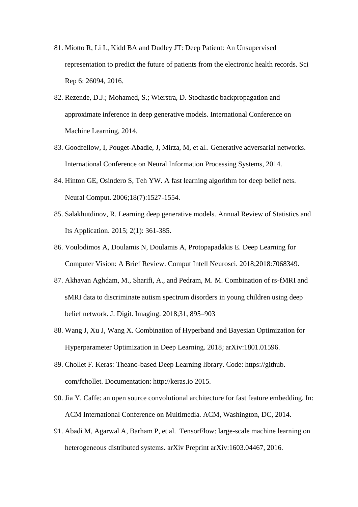- <span id="page-38-0"></span>81. Miotto R, Li L, Kidd BA and Dudley JT: Deep Patient: An Unsupervised representation to predict the future of patients from the electronic health records. Sci Rep 6: 26094, 2016.
- <span id="page-38-1"></span>82. Rezende, D.J.; Mohamed, S.; Wierstra, D. Stochastic backpropagation and approximate inference in deep generative models. International Conference on Machine Learning, 2014.
- <span id="page-38-2"></span>83. Goodfellow, I, Pouget-Abadie, J, Mirza, M, et al.. Generative adversarial networks. International Conference on Neural Information Processing Systems, 2014.
- <span id="page-38-3"></span>84. Hinton GE, Osindero S, Teh YW. A fast learning algorithm for deep belief nets. Neural Comput. 2006;18(7):1527-1554.
- <span id="page-38-4"></span>85. Salakhutdinov, R. Learning deep generative models. Annual Review of Statistics and Its Application. 2015; 2(1): 361-385.
- <span id="page-38-5"></span>86. Voulodimos A, Doulamis N, Doulamis A, Protopapadakis E. Deep Learning for Computer Vision: A Brief Review. Comput Intell Neurosci. 2018;2018:7068349.
- <span id="page-38-6"></span>87. Akhavan Aghdam, M., Sharifi, A., and Pedram, M. M. Combination of rs-fMRI and sMRI data to discriminate autism spectrum disorders in young children using deep belief network. J. Digit. Imaging. 2018;31, 895–903
- <span id="page-38-7"></span>88. Wang J, Xu J, Wang X. Combination of Hyperband and Bayesian Optimization for Hyperparameter Optimization in Deep Learning. 2018; arXiv:1801.01596.
- <span id="page-38-8"></span>89. Chollet F. Keras: Theano-based Deep Learning library. Code: https://github. com/fchollet. Documentation: http://keras.io 2015.
- <span id="page-38-9"></span>90. Jia Y. Caffe: an open source convolutional architecture for fast feature embedding. In: ACM International Conference on Multimedia. ACM, Washington, DC, 2014.
- <span id="page-38-10"></span>91. Abadi M, Agarwal A, Barham P, et al. TensorFlow: large-scale machine learning on heterogeneous distributed systems. arXiv Preprint arXiv:1603.04467, 2016.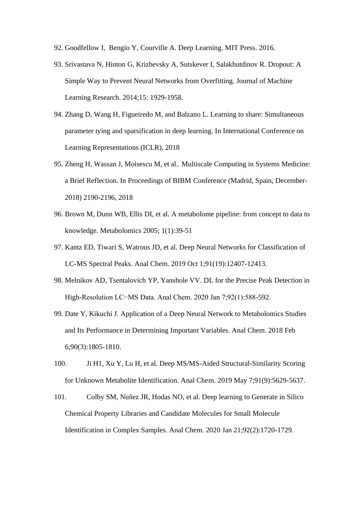- <span id="page-39-0"></span>92. Goodfellow I, Bengio Y, Courville A. Deep Learning. MIT Press. 2016.
- <span id="page-39-1"></span>93. Srivastava N, Hinton G, Krizhevsky A, Sutskever I, Salakhutdinov R. Dropout: A Simple Way to Prevent Neural Networks from Overfitting. Journal of Machine Learning Research. 2014;15: 1929-1958.
- <span id="page-39-2"></span>94. Zhang D, Wang H, Figueiredo M, and Balzano L. Learning to share: Simultaneous parameter tying and sparsification in deep learning. In International Conference on Learning Representations (ICLR), 2018
- <span id="page-39-3"></span>95. Zheng H, Wassan J, Moisescu M, et al.. Multiscale Computing in Systems Medicine: a Brief Reflection. In Proceedings of BIBM Conference (Madrid, Spain, December-2018) 2190-2196, 2018
- <span id="page-39-4"></span>96. Brown M, Dunn WB, Ellis DI, et al. A metabolome pipeline: from concept to data to knowledge. Metabolomics 2005; 1(1):39-51
- <span id="page-39-5"></span>97. Kantz ED, Tiwari S, Watrous JD, et al. Deep Neural Networks for Classification of LC-MS Spectral Peaks. Anal Chem. 2019 Oct 1;91(19):12407-12413.
- <span id="page-39-6"></span>98. Melnikov AD, Tsentalovich YP, Yanshole VV. DL for the Precise Peak Detection in High-Resolution LC−MS Data. Anal Chem. 2020 Jan 7;92(1):588-592.
- <span id="page-39-7"></span>99. Date Y, Kikuchi J. Application of a Deep Neural Network to Metabolomics Studies and Its Performance in Determining Important Variables. Anal Chem. 2018 Feb 6;90(3):1805-1810.
- <span id="page-39-8"></span>100. Ji H1, Xu Y, Lu H, et al. Deep MS/MS-Aided Structural-Similarity Scoring for Unknown Metabolite Identification. Anal Chem. 2019 May 7;91(9):5629-5637.
- 101. Colby SM, Nuñez JR, Hodas NO, et al. Deep learning to Generate in Silico Chemical Property Libraries and Candidate Molecules for Small Molecule Identification in Complex Samples. Anal Chem. 2020 Jan 21;92(2):1720-1729.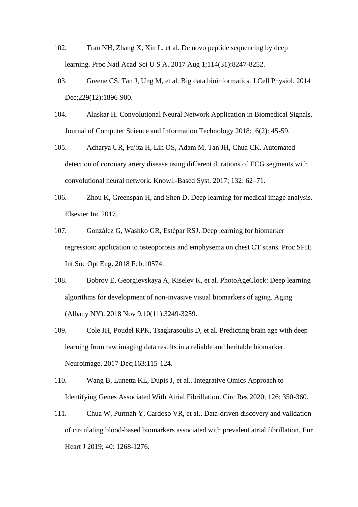- <span id="page-40-0"></span>102. Tran NH, Zhang X, Xin L, et al. De novo peptide sequencing by deep learning. Proc Natl Acad Sci U S A. 2017 Aug 1;114(31):8247-8252.
- <span id="page-40-1"></span>103. Greene CS, Tan J, Ung M, et al. Big data bioinformatics. J Cell Physiol. 2014 Dec: 229(12): 1896-900.
- <span id="page-40-2"></span>104. Alaskar H. Convolutional Neural Network Application in Biomedical Signals. Journal of Computer Science and Information Technology 2018; 6(2): 45-59.
- <span id="page-40-3"></span>105. Acharya UR, Fujita H, Lih OS, Adam M, Tan JH, Chua CK. Automated detection of coronary artery disease using different durations of ECG segments with convolutional neural network. Knowl.-Based Syst. 2017; 132: 62–71.
- <span id="page-40-4"></span>106. Zhou K, Greenspan H, and Shen D. Deep learning for medical image analysis. Elsevier Inc 2017.
- <span id="page-40-5"></span>107. González G, Washko GR, Estépar RSJ. Deep learning for biomarker regression: application to osteoporosis and emphysema on chest CT scans. Proc SPIE Int Soc Opt Eng. 2018 Feb;10574.
- <span id="page-40-6"></span>108. Bobrov E, Georgievskaya A, Kiselev K, et al. PhotoAgeClock: Deep learning algorithms for development of non-invasive visual biomarkers of aging. Aging (Albany NY). 2018 Nov 9;10(11):3249-3259.
- <span id="page-40-7"></span>109. Cole JH, Poudel RPK, Tsagkrasoulis D, et al. Predicting brain age with deep learning from raw imaging data results in a reliable and heritable biomarker. Neuroimage. 2017 Dec;163:115-124.
- <span id="page-40-8"></span>110. Wang B, Lunetta KL, Dupis J, et al.. Integrative Omics Approach to Identifying Genes Associated With Atrial Fibrillation. Circ Res 2020; 126: 350-360.
- <span id="page-40-9"></span>111. Chua W, Purmah Y, Cardoso VR, et al.. Data-driven discovery and validation of circulating blood-based biomarkers associated with prevalent atrial fibrillation. Eur Heart J 2019; 40: 1268-1276.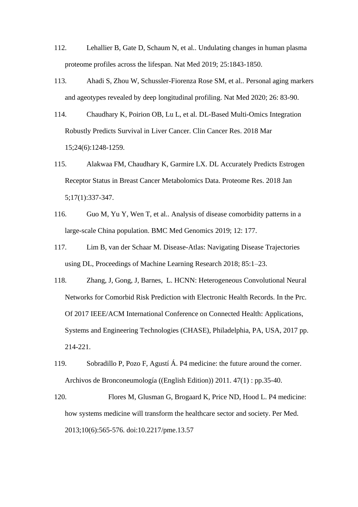- <span id="page-41-0"></span>112. Lehallier B, Gate D, Schaum N, et al.. Undulating changes in human plasma proteome profiles across the lifespan. Nat Med 2019; 25:1843-1850.
- <span id="page-41-1"></span>113. Ahadi S, Zhou W, Schussler-Fiorenza Rose SM, et al.. Personal aging markers and ageotypes revealed by deep longitudinal profiling. Nat Med 2020; 26: 83-90.
- <span id="page-41-2"></span>114. Chaudhary K, Poirion OB, Lu L, et al. DL-Based Multi-Omics Integration Robustly Predicts Survival in Liver Cancer. Clin Cancer Res. 2018 Mar 15;24(6):1248-1259.
- <span id="page-41-3"></span>115. Alakwaa FM, Chaudhary K, Garmire LX. DL Accurately Predicts Estrogen Receptor Status in Breast Cancer Metabolomics Data. Proteome Res. 2018 Jan 5;17(1):337-347.
- <span id="page-41-4"></span>116. Guo M, Yu Y, Wen T, et al.. Analysis of disease comorbidity patterns in a large-scale China population. BMC Med Genomics 2019; 12: 177.
- <span id="page-41-5"></span>117. Lim B, van der Schaar M. Disease-Atlas: Navigating Disease Trajectories using DL, Proceedings of Machine Learning Research 2018; 85:1–23.
- <span id="page-41-6"></span>118. Zhang, J, Gong, J, Barnes, L. HCNN: Heterogeneous Convolutional Neural Networks for Comorbid Risk Prediction with Electronic Health Records. In the Prc. Of 2017 IEEE/ACM International Conference on Connected Health: Applications, Systems and Engineering Technologies (CHASE), Philadelphia, PA, USA, 2017 pp. 214-221.
- <span id="page-41-7"></span>119. Sobradillo P, Pozo F, Agustí Á. P4 medicine: the future around the corner. Archivos de Bronconeumología ((English Edition)) 2011. 47(1) : pp.35-40.
- <span id="page-41-8"></span>120. Flores M, Glusman G, Brogaard K, Price ND, Hood L. P4 medicine: how systems medicine will transform the healthcare sector and society. Per Med. 2013;10(6):565-576. doi:10.2217/pme.13.57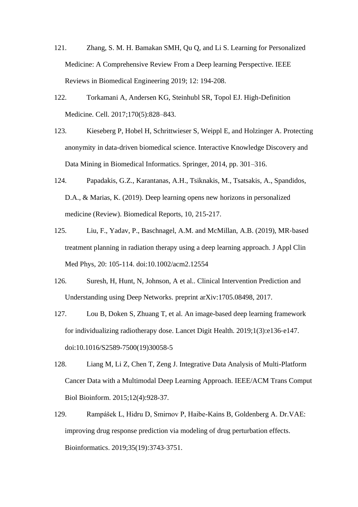- <span id="page-42-0"></span>121. Zhang, S. M. H. Bamakan SMH, Qu Q, and Li S. Learning for Personalized Medicine: A Comprehensive Review From a Deep learning Perspective. IEEE Reviews in Biomedical Engineering 2019; 12: 194-208.
- <span id="page-42-1"></span>122. Torkamani A, Andersen KG, Steinhubl SR, Topol EJ. High-Definition Medicine. Cell. 2017;170(5):828–843.
- <span id="page-42-2"></span>123. Kieseberg P, Hobel H, Schrittwieser S, Weippl E, and Holzinger A. Protecting anonymity in data-driven biomedical science. Interactive Knowledge Discovery and Data Mining in Biomedical Informatics. Springer, 2014, pp. 301–316.
- <span id="page-42-3"></span>124. Papadakis, G.Z., Karantanas, A.H., Tsiknakis, M., Tsatsakis, A., Spandidos, D.A., & Marias, K. (2019). Deep learning opens new horizons in personalized medicine (Review). Biomedical Reports, 10, 215-217.
- <span id="page-42-4"></span>125. Liu, F., Yadav, P., Baschnagel, A.M. and McMillan, A.B. (2019), MR‐based treatment planning in radiation therapy using a deep learning approach. J Appl Clin Med Phys, 20: 105-114. doi:10.1002/acm2.12554
- <span id="page-42-5"></span>126. Suresh, H, Hunt, N, Johnson, A et al.. Clinical Intervention Prediction and Understanding using Deep Networks. preprint arXiv:1705.08498, 2017.
- <span id="page-42-6"></span>127. Lou B, Doken S, Zhuang T, et al. An image-based deep learning framework for individualizing radiotherapy dose. Lancet Digit Health. 2019;1(3):e136‐e147. doi:10.1016/S2589-7500(19)30058-5
- <span id="page-42-7"></span>128. Liang M, Li Z, Chen T, Zeng J. Integrative Data Analysis of Multi-Platform Cancer Data with a Multimodal Deep Learning Approach. IEEE/ACM Trans Comput Biol Bioinform. 2015;12(4):928-37.
- <span id="page-42-8"></span>129. Rampášek L, Hidru D, Smirnov P, Haibe-Kains B, Goldenberg A. Dr.VAE: improving drug response prediction via modeling of drug perturbation effects. Bioinformatics. 2019;35(19):3743‐3751.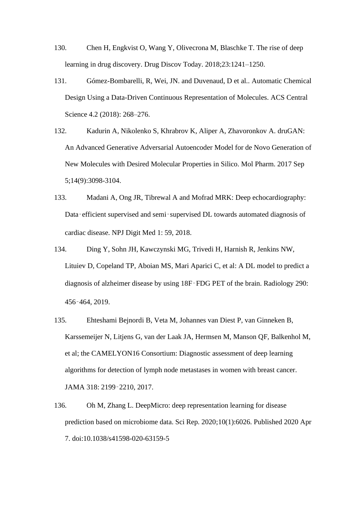- <span id="page-43-0"></span>130. Chen H, Engkvist O, Wang Y, Olivecrona M, Blaschke T. The rise of deep learning in drug discovery. Drug Discov Today. 2018;23:1241–1250.
- <span id="page-43-1"></span>131. Gómez-Bombarelli, R, Wei, JN. and Duvenaud, D et al.. Automatic Chemical Design Using a Data-Driven Continuous Representation of Molecules. ACS Central Science 4.2 (2018): 268–276.
- <span id="page-43-2"></span>132. Kadurin A, Nikolenko S, Khrabrov K, Aliper A, Zhavoronkov A. druGAN: An Advanced Generative Adversarial Autoencoder Model for de Novo Generation of New Molecules with Desired Molecular Properties in Silico. Mol Pharm. 2017 Sep 5;14(9):3098-3104.
- <span id="page-43-3"></span>133. Madani A, Ong JR, Tibrewal A and Mofrad MRK: Deep echocardiography: Data-efficient supervised and semi-supervised DL towards automated diagnosis of cardiac disease. NPJ Digit Med 1: 59, 2018.
- <span id="page-43-4"></span>134. Ding Y, Sohn JH, Kawczynski MG, Trivedi H, Harnish R, Jenkins NW, Lituiev D, Copeland TP, Aboian MS, Mari Aparici C, et al: A DL model to predict a diagnosis of alzheimer disease by using 18F‑FDG PET of the brain. Radiology 290: 456‑464, 2019.
- <span id="page-43-5"></span>135. Ehteshami Bejnordi B, Veta M, Johannes van Diest P, van Ginneken B, Karssemeijer N, Litjens G, van der Laak JA, Hermsen M, Manson QF, Balkenhol M, et al; the CAMELYON16 Consortium: Diagnostic assessment of deep learning algorithms for detection of lymph node metastases in women with breast cancer. JAMA 318: 2199‑2210, 2017.
- <span id="page-43-6"></span>136. Oh M, Zhang L. DeepMicro: deep representation learning for disease prediction based on microbiome data. Sci Rep. 2020;10(1):6026. Published 2020 Apr 7. doi:10.1038/s41598-020-63159-5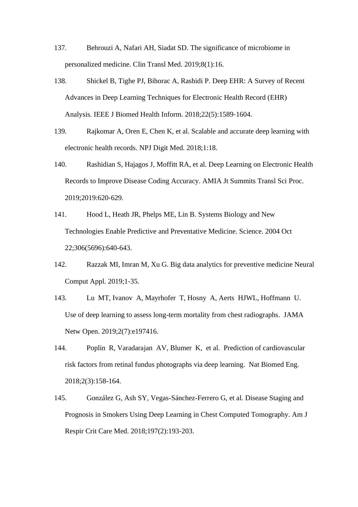- <span id="page-44-0"></span>137. Behrouzi A, Nafari AH, Siadat SD. The significance of microbiome in personalized medicine. Clin Transl Med. 2019;8(1):16.
- <span id="page-44-1"></span>138. Shickel B, Tighe PJ, Bihorac A, Rashidi P. Deep EHR: A Survey of Recent Advances in Deep Learning Techniques for Electronic Health Record (EHR) Analysis. IEEE J Biomed Health Inform. 2018;22(5):1589‐1604.
- <span id="page-44-2"></span>139. Rajkomar A, Oren E, Chen K, et al. Scalable and accurate deep learning with electronic health records. NPJ Digit Med. 2018;1:18.
- <span id="page-44-3"></span>140. Rashidian S, Hajagos J, Moffitt RA, et al. Deep Learning on Electronic Health Records to Improve Disease Coding Accuracy. AMIA Jt Summits Transl Sci Proc. 2019;2019:620‐629.
- <span id="page-44-4"></span>141. Hood L, Heath JR, Phelps ME, Lin B. Systems Biology and New Technologies Enable Predictive and Preventative Medicine. Science. 2004 Oct 22;306(5696):640-643.
- <span id="page-44-5"></span>142. Razzak MI, Imran M, Xu G. Big data analytics for preventive medicine Neural Comput Appl. 2019;1‐35.
- <span id="page-44-6"></span>143. Lu MT, Ivanov A, Mayrhofer T, Hosny A, Aerts HJWL, Hoffmann U. Use of deep learning to assess long-term mortality from chest radiographs. JAMA Netw Open. 2019;2(7):e197416.
- <span id="page-44-7"></span>144. Poplin R, Varadarajan AV, Blumer K, et al. Prediction of cardiovascular risk factors from retinal fundus photographs via deep learning. Nat Biomed Eng. 2018;2(3):158-164.
- <span id="page-44-8"></span>145. González G, Ash SY, Vegas-Sánchez-Ferrero G, et al. Disease Staging and Prognosis in Smokers Using Deep Learning in Chest Computed Tomography. Am J Respir Crit Care Med. 2018;197(2):193‐203.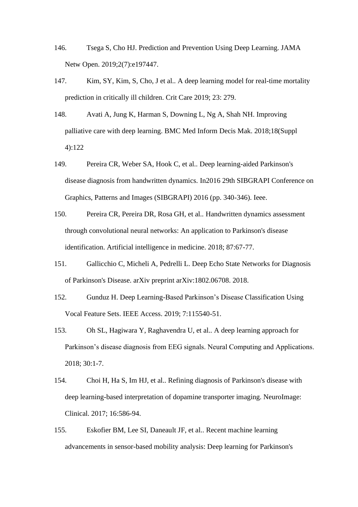- <span id="page-45-0"></span>146. Tsega S, Cho HJ. Prediction and Prevention Using Deep Learning. JAMA Netw Open. 2019;2(7):e197447.
- <span id="page-45-1"></span>147. Kim, SY, Kim, S, Cho, J et al.. A deep learning model for real-time mortality prediction in critically ill children. Crit Care 2019; 23: 279.
- <span id="page-45-2"></span>148. Avati A, Jung K, Harman S, Downing L, Ng A, Shah NH. Improving palliative care with deep learning. BMC Med Inform Decis Mak. 2018;18(Suppl 4):122
- <span id="page-45-3"></span>149. Pereira CR, Weber SA, Hook C, et al.. Deep learning-aided Parkinson's disease diagnosis from handwritten dynamics. In2016 29th SIBGRAPI Conference on Graphics, Patterns and Images (SIBGRAPI) 2016 (pp. 340-346). Ieee.
- <span id="page-45-4"></span>150. Pereira CR, Pereira DR, Rosa GH, et al.. Handwritten dynamics assessment through convolutional neural networks: An application to Parkinson's disease identification. Artificial intelligence in medicine. 2018; 87:67-77.
- <span id="page-45-5"></span>151. Gallicchio C, Micheli A, Pedrelli L. Deep Echo State Networks for Diagnosis of Parkinson's Disease. arXiv preprint arXiv:1802.06708. 2018.
- <span id="page-45-6"></span>152. Gunduz H. Deep Learning-Based Parkinson's Disease Classification Using Vocal Feature Sets. IEEE Access. 2019; 7:115540-51.
- <span id="page-45-7"></span>153. Oh SL, Hagiwara Y, Raghavendra U, et al.. A deep learning approach for Parkinson's disease diagnosis from EEG signals. Neural Computing and Applications. 2018; 30:1-7.
- <span id="page-45-8"></span>154. Choi H, Ha S, Im HJ, et al.. Refining diagnosis of Parkinson's disease with deep learning-based interpretation of dopamine transporter imaging. NeuroImage: Clinical. 2017; 16:586-94.
- <span id="page-45-9"></span>155. Eskofier BM, Lee SI, Daneault JF, et al.. Recent machine learning advancements in sensor-based mobility analysis: Deep learning for Parkinson's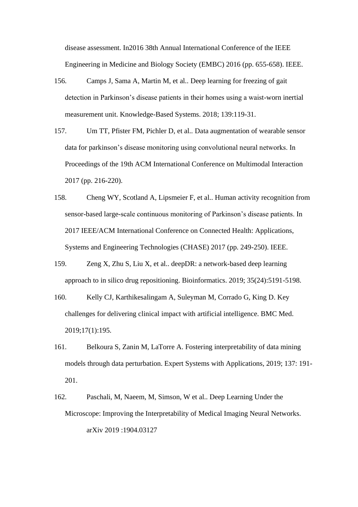disease assessment. In2016 38th Annual International Conference of the IEEE Engineering in Medicine and Biology Society (EMBC) 2016 (pp. 655-658). IEEE.

- <span id="page-46-0"></span>156. Camps J, Sama A, Martin M, et al.. Deep learning for freezing of gait detection in Parkinson's disease patients in their homes using a waist-worn inertial measurement unit. Knowledge-Based Systems. 2018; 139:119-31.
- 157. Um TT, Pfister FM, Pichler D, et al.. Data augmentation of wearable sensor data for parkinson's disease monitoring using convolutional neural networks. In Proceedings of the 19th ACM International Conference on Multimodal Interaction 2017 (pp. 216-220).
- <span id="page-46-1"></span>158. Cheng WY, Scotland A, Lipsmeier F, et al.. Human activity recognition from sensor-based large-scale continuous monitoring of Parkinson's disease patients. In 2017 IEEE/ACM International Conference on Connected Health: Applications, Systems and Engineering Technologies (CHASE) 2017 (pp. 249-250). IEEE.
- <span id="page-46-2"></span>159. Zeng X, Zhu S, Liu X, et al.. deepDR: a network-based deep learning approach to in silico drug repositioning. Bioinformatics. 2019; 35(24):5191-5198.
- <span id="page-46-3"></span>160. Kelly CJ, Karthikesalingam A, Suleyman M, Corrado G, King D. Key challenges for delivering clinical impact with artificial intelligence. BMC Med. 2019;17(1):195.
- <span id="page-46-4"></span>161. Belkoura S, Zanin M, LaTorre A. Fostering interpretability of data mining models through data perturbation. Expert Systems with Applications, 2019; 137: 191- 201.
- <span id="page-46-5"></span>162. Paschali, M, Naeem, M, Simson, W et al.. Deep Learning Under the Microscope: Improving the Interpretability of Medical Imaging Neural Networks. arXiv 2019 :1904.03127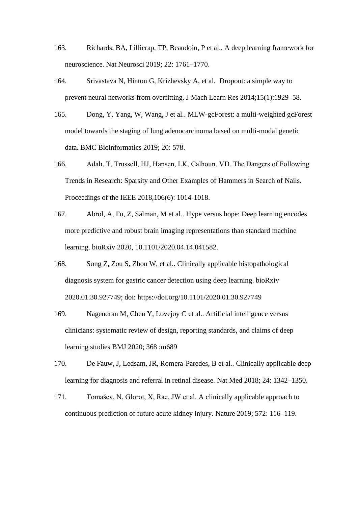- <span id="page-47-0"></span>163. Richards, BA, Lillicrap, TP, Beaudoin, P et al.. A deep learning framework for neuroscience. Nat Neurosci 2019; 22: 1761–1770.
- <span id="page-47-1"></span>164. Srivastava N, Hinton G, Krizhevsky A, et al. Dropout: a simple way to prevent neural networks from overfitting. J Mach Learn Res 2014;15(1):1929–58.
- <span id="page-47-2"></span>165. Dong, Y, Yang, W, Wang, J et al.. MLW-gcForest: a multi-weighted gcForest model towards the staging of lung adenocarcinoma based on multi-modal genetic data. BMC Bioinformatics 2019; 20: 578.
- <span id="page-47-3"></span>166. Adalı, T, Trussell, HJ, Hansen, LK, Calhoun, VD. The Dangers of Following Trends in Research: Sparsity and Other Examples of Hammers in Search of Nails. Proceedings of the IEEE 2018,106(6): 1014-1018.
- <span id="page-47-4"></span>167. Abrol, A, Fu, Z, Salman, M et al.. Hype versus hope: Deep learning encodes more predictive and robust brain imaging representations than standard machine learning. bioRxiv 2020, 10.1101/2020.04.14.041582.
- <span id="page-47-5"></span>168. Song Z, Zou S, Zhou W, et al.. Clinically applicable histopathological diagnosis system for gastric cancer detection using deep learning. bioRxiv 2020.01.30.927749; doi: https://doi.org/10.1101/2020.01.30.927749
- <span id="page-47-6"></span>169. Nagendran M, Chen Y, Lovejoy C et al.. Artificial intelligence versus clinicians: systematic review of design, reporting standards, and claims of deep learning studies BMJ 2020; 368 :m689
- <span id="page-47-7"></span>170. De Fauw, J, Ledsam, JR, Romera-Paredes, B et al.. Clinically applicable deep learning for diagnosis and referral in retinal disease. Nat Med 2018; 24: 1342–1350.
- <span id="page-47-8"></span>171. Tomašev, N, Glorot, X, Rae, JW et al. A clinically applicable approach to continuous prediction of future acute kidney injury. Nature 2019; 572: 116–119.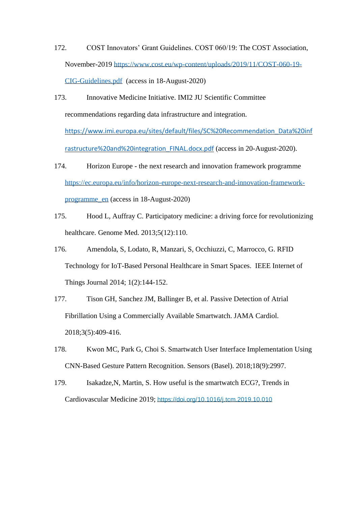- <span id="page-48-0"></span>172. COST Innovators' Grant Guidelines. COST 060/19: The COST Association, November-2019 [https://www.cost.eu/wp-content/uploads/2019/11/COST-060-19-](https://www.cost.eu/wp-content/uploads/2019/11/COST-060-19-CIG-Guidelines.pdf) [CIG-Guidelines.pdf](https://www.cost.eu/wp-content/uploads/2019/11/COST-060-19-CIG-Guidelines.pdf) (access in 18-August-2020)
- <span id="page-48-1"></span>173. Innovative Medicine Initiative. IMI2 JU Scientific Committee recommendations regarding data infrastructure and integration.

[https://www.imi.europa.eu/sites/default/files/SC%20Recommendation\\_Data%20inf](https://www.imi.europa.eu/sites/default/files/SC%20Recommendation_Data%20infrastructure%20and%20integration_FINAL.docx.pdf) [rastructure%20and%20integration\\_FINAL.docx.pdf](https://www.imi.europa.eu/sites/default/files/SC%20Recommendation_Data%20infrastructure%20and%20integration_FINAL.docx.pdf) (access in 20-August-2020).

- <span id="page-48-2"></span>174. Horizon Europe - the next research and innovation framework programme [https://ec.europa.eu/info/horizon-europe-next-research-and-innovation-framework](https://ec.europa.eu/info/horizon-europe-next-research-and-innovation-framework-programme_en)[programme\\_en](https://ec.europa.eu/info/horizon-europe-next-research-and-innovation-framework-programme_en) (access in 18-August-2020)
- <span id="page-48-3"></span>175. Hood L, Auffray C. Participatory medicine: a driving force for revolutionizing healthcare. Genome Med. 2013;5(12):110.
- <span id="page-48-4"></span>176. Amendola, S, Lodato, R, Manzari, S, Occhiuzzi, C, Marrocco, G. RFID Technology for IoT-Based Personal Healthcare in Smart Spaces. IEEE Internet of Things Journal 2014; 1(2):144-152.
- <span id="page-48-5"></span>177. Tison GH, Sanchez JM, Ballinger B, et al. Passive Detection of Atrial Fibrillation Using a Commercially Available Smartwatch. JAMA Cardiol. 2018;3(5):409‐416.
- <span id="page-48-6"></span>178. Kwon MC, Park G, Choi S. Smartwatch User Interface Implementation Using CNN-Based Gesture Pattern Recognition. Sensors (Basel). 2018;18(9):2997.
- <span id="page-48-7"></span>179. Isakadze,N, Martin, S. How useful is the smartwatch ECG?, Trends in Cardiovascular Medicine 2019; <https://doi.org/10.1016/j.tcm.2019.10.010>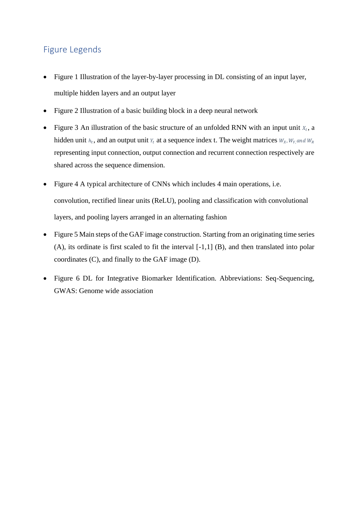# Figure Legends

- Figure 1 Illustration of the layer-by-layer processing in DL consisting of an input layer, multiple hidden layers and an output layer
- Figure 2 Illustration of a basic building block in a deep neural network
- Figure 3 An illustration of the basic structure of an unfolded RNN with an input unit  $X_t$ , a hidden unit  $h_t$ , and an output unit  $Y_t$  at a sequence index t. The weight matrices  $W_X$ ,  $W_Y$ , and  $W_R$ representing input connection, output connection and recurrent connection respectively are shared across the sequence dimension.
- Figure 4 A typical architecture of CNNs which includes 4 main operations, i.e. convolution, rectified linear units (ReLU), pooling and classification with convolutional layers, and pooling layers arranged in an alternating fashion
- Figure 5 Main steps of the GAF image construction. Starting from an originating time series (A), its ordinate is first scaled to fit the interval [-1,1] (B), and then translated into polar coordinates (C), and finally to the GAF image (D).
- Figure 6 DL for Integrative Biomarker Identification. Abbreviations: Seq-Sequencing, GWAS: Genome wide association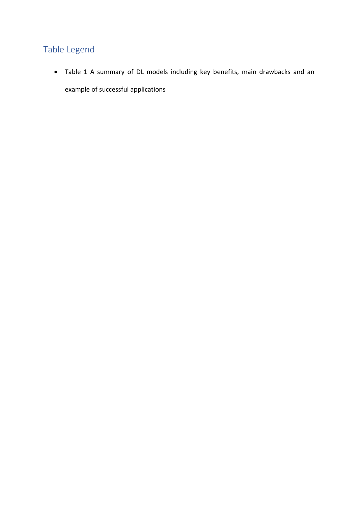# Table Legend

<span id="page-50-0"></span>• Table 1 A summary of DL models including key benefits, main drawbacks and an example of successful applications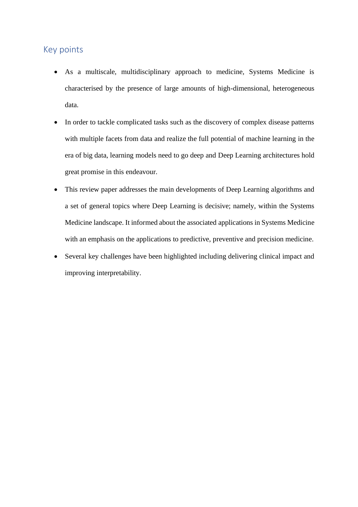# Key points

- As a multiscale, multidisciplinary approach to medicine, Systems Medicine is characterised by the presence of large amounts of high-dimensional, heterogeneous data.
- In order to tackle complicated tasks such as the discovery of complex disease patterns with multiple facets from data and realize the full potential of machine learning in the era of big data, learning models need to go deep and Deep Learning architectures hold great promise in this endeavour.
- This review paper addresses the main developments of Deep Learning algorithms and a set of general topics where Deep Learning is decisive; namely, within the Systems Medicine landscape. It informed about the associated applications in Systems Medicine with an emphasis on the applications to predictive, preventive and precision medicine.
- Several key challenges have been highlighted including delivering clinical impact and improving interpretability.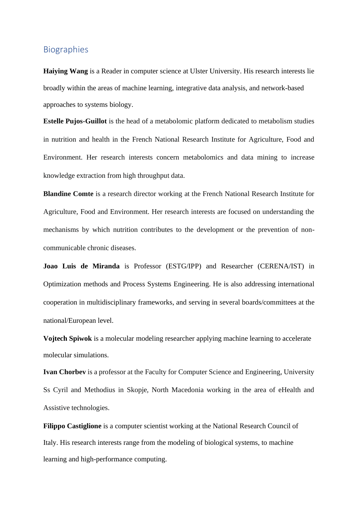# **Biographies**

**Haiying Wang** is a Reader in computer science at Ulster University. His research interests lie broadly within the areas of machine learning, integrative data analysis, and network-based approaches to systems biology.

**Estelle Pujos-Guillot** is the head of a metabolomic platform dedicated to metabolism studies in nutrition and health in the French National Research Institute for Agriculture, Food and Environment. Her research interests concern metabolomics and data mining to increase knowledge extraction from high throughput data.

**Blandine Comte** is a research director working at the French National Research Institute for Agriculture, Food and Environment. Her research interests are focused on understanding the mechanisms by which nutrition contributes to the development or the prevention of noncommunicable chronic diseases.

**Joao Luis de Miranda** is Professor (ESTG/IPP) and Researcher (CERENA/IST) in Optimization methods and Process Systems Engineering. He is also addressing international cooperation in multidisciplinary frameworks, and serving in several boards/committees at the national/European level.

**Vojtech Spiwok** is a molecular modeling researcher applying machine learning to accelerate molecular simulations.

**Ivan Chorbev** is a professor at the Faculty for Computer Science and Engineering, University Ss Cyril and Methodius in Skopje, North Macedonia working in the area of eHealth and Assistive technologies.

**Filippo Castiglione** is a computer scientist working at the National Research Council of Italy. His research interests range from the modeling of biological systems, to machine learning and high-performance computing.